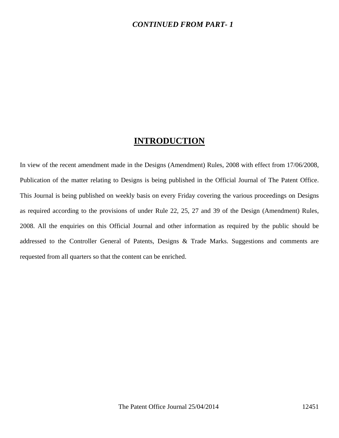### *CONTINUED FROM PART- 1*

### **INTRODUCTION**

In view of the recent amendment made in the Designs (Amendment) Rules, 2008 with effect from 17/06/2008, Publication of the matter relating to Designs is being published in the Official Journal of The Patent Office. This Journal is being published on weekly basis on every Friday covering the various proceedings on Designs as required according to the provisions of under Rule 22, 25, 27 and 39 of the Design (Amendment) Rules, 2008. All the enquiries on this Official Journal and other information as required by the public should be addressed to the Controller General of Patents, Designs & Trade Marks. Suggestions and comments are requested from all quarters so that the content can be enriched.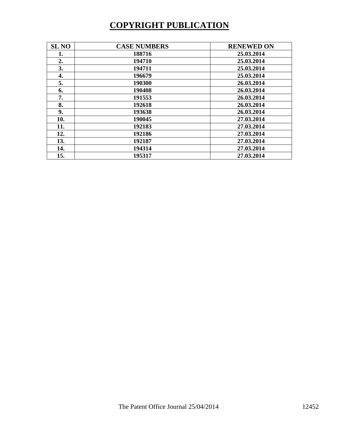# **COPYRIGHT PUBLICATION**

| <b>SL NO</b> | <b>CASE NUMBERS</b> | <b>RENEWED ON</b> |
|--------------|---------------------|-------------------|
| 1.           | 188716              | 25.03.2014        |
| 2.           | 194710              | 25.03.2014        |
| 3.           | 194711              | 25.03.2014        |
| 4.           | 196679              | 25.03.2014        |
| 5.           | 190300              | 26.03.2014        |
| 6.           | 190408              | 26.03.2014        |
| 7.           | 191553              | 26.03.2014        |
| 8.           | 192618              | 26.03.2014        |
| 9.           | 193638              | 26.03.2014        |
| 10.          | 190045              | 27.03.2014        |
| 11.          | 192183              | 27.03.2014        |
| 12.          | 192186              | 27.03.2014        |
| 13.          | 192187              | 27.03.2014        |
| 14.          | 194314              | 27.03.2014        |
| 15.          | 195317              | 27.03.2014        |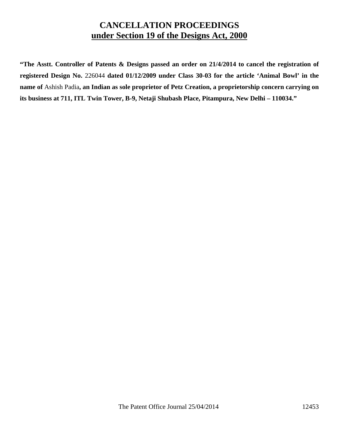### **CANCELLATION PROCEEDINGS under Section 19 of the Designs Act, 2000**

**"The Asstt. Controller of Patents & Designs passed an order on 21/4/2014 to cancel the registration of registered Design No.** 226044 **dated 01/12/2009 under Class 30-03 for the article 'Animal Bowl' in the name of** Ashish Padia**, an Indian as sole proprietor of Petz Creation, a proprietorship concern carrying on its business at 711, ITL Twin Tower, B-9, Netaji Shubash Place, Pitampura, New Delhi – 110034."**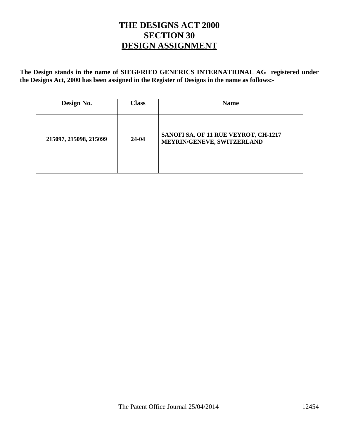## **THE DESIGNS ACT 2000 SECTION 30 DESIGN ASSIGNMENT**

**The Design stands in the name of SIEGFRIED GENERICS INTERNATIONAL AG registered under the Designs Act, 2000 has been assigned in the Register of Designs in the name as follows:-** 

| Design No.             | <b>Class</b> | <b>Name</b>                                                        |
|------------------------|--------------|--------------------------------------------------------------------|
| 215097, 215098, 215099 | $24-04$      | SANOFI SA, OF 11 RUE VEYROT, CH-1217<br>MEYRIN/GENEVE, SWITZERLAND |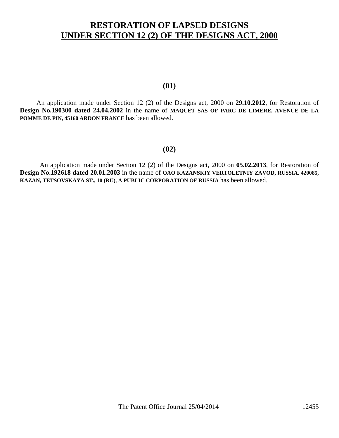## **RESTORATION OF LAPSED DESIGNS UNDER SECTION 12 (2) OF THE DESIGNS ACT, 2000**

### **(01)**

 An application made under Section 12 (2) of the Designs act, 2000 on **29.10.2012**, for Restoration of **Design No.190300 dated 24.04.2002** in the name of **MAQUET SAS OF PARC DE LIMERE, AVENUE DE LA POMME DE PIN, 45160 ARDON FRANCE** has been allowed.

#### **(02)**

 An application made under Section 12 (2) of the Designs act, 2000 on **05.02.2013**, for Restoration of **Design No.192618 dated 20.01.2003** in the name of **OAO KAZANSKIY VERTOLETNIY ZAVOD, RUSSIA, 420085, KAZAN, TETSOVSKAYA ST., 10 (RU), A PUBLIC CORPORATION OF RUSSIA** has been allowed.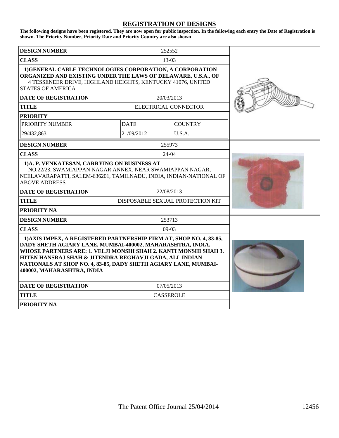#### **REGISTRATION OF DESIGNS**

**The following designs have been registered. They are now open for public inspection. In the following each entry the Date of Registration is shown. The Priority Number, Priority Date and Priority Country are also shown**

| <b>DESIGN NUMBER</b>                                                                                                                                                                                                                                                                                                                                              |                  | 252552                           |  |  |  |
|-------------------------------------------------------------------------------------------------------------------------------------------------------------------------------------------------------------------------------------------------------------------------------------------------------------------------------------------------------------------|------------------|----------------------------------|--|--|--|
| <b>CLASS</b>                                                                                                                                                                                                                                                                                                                                                      |                  |                                  |  |  |  |
| 1) GENERAL CABLE TECHNOLOGIES CORPORATION, A CORPORATION<br>ORGANIZED AND EXISTING UNDER THE LAWS OF DELAWARE, U.S.A., OF<br>4 TESSENEER DRIVE, HIGHLAND HEIGHTS, KENTUCKY 41076, UNITED<br><b>STATES OF AMERICA</b>                                                                                                                                              |                  |                                  |  |  |  |
| <b>DATE OF REGISTRATION</b>                                                                                                                                                                                                                                                                                                                                       |                  | 20/03/2013                       |  |  |  |
| <b>TITLE</b>                                                                                                                                                                                                                                                                                                                                                      |                  | ELECTRICAL CONNECTOR             |  |  |  |
| <b>PRIORITY</b>                                                                                                                                                                                                                                                                                                                                                   |                  |                                  |  |  |  |
| PRIORITY NUMBER                                                                                                                                                                                                                                                                                                                                                   | <b>DATE</b>      | <b>COUNTRY</b>                   |  |  |  |
| 29/432,863                                                                                                                                                                                                                                                                                                                                                        | 21/09/2012       | U.S.A.                           |  |  |  |
| <b>DESIGN NUMBER</b>                                                                                                                                                                                                                                                                                                                                              |                  | 255973                           |  |  |  |
| <b>CLASS</b>                                                                                                                                                                                                                                                                                                                                                      |                  | 24-04                            |  |  |  |
| 1)A. P. VENKATESAN, CARRYING ON BUSINESS AT<br>NO.22/23, SWAMIAPPAN NAGAR ANNEX, NEAR SWAMIAPPAN NAGAR,<br>NEELAVARAPATTI, SALEM-636201, TAMILNADU, INDIA, INDIAN-NATIONAL OF<br><b>ABOVE ADDRESS</b>                                                                                                                                                             |                  |                                  |  |  |  |
| <b>DATE OF REGISTRATION</b>                                                                                                                                                                                                                                                                                                                                       |                  | 22/08/2013                       |  |  |  |
| <b>TITLE</b>                                                                                                                                                                                                                                                                                                                                                      |                  | DISPOSABLE SEXUAL PROTECTION KIT |  |  |  |
| <b>PRIORITY NA</b>                                                                                                                                                                                                                                                                                                                                                |                  |                                  |  |  |  |
| <b>DESIGN NUMBER</b>                                                                                                                                                                                                                                                                                                                                              |                  |                                  |  |  |  |
| <b>CLASS</b>                                                                                                                                                                                                                                                                                                                                                      | $09-03$          |                                  |  |  |  |
| 1) AXIS IMPEX, A REGISTERED PARTNERSHIP FIRM AT, SHOP NO. 4, 83-85,<br>DADY SHETH AGIARY LANE, MUMBAI-400002, MAHARASHTRA, INDIA.<br>WHOSE PARTNERS ARE: 1. VELJI MONSHI SHAH 2. KANTI MONSHI SHAH 3.<br>HITEN HANSRAJ SHAH & JITENDRA REGHAVJI GADA, ALL INDIAN<br>NATIONALS AT SHOP NO. 4, 83-85, DADY SHETH AGIARY LANE, MUMBAI-<br>400002, MAHARASHTRA, INDIA |                  |                                  |  |  |  |
| <b>DATE OF REGISTRATION</b>                                                                                                                                                                                                                                                                                                                                       | 07/05/2013       |                                  |  |  |  |
| <b>TITLE</b>                                                                                                                                                                                                                                                                                                                                                      | <b>CASSEROLE</b> |                                  |  |  |  |
| <b>PRIORITY NA</b>                                                                                                                                                                                                                                                                                                                                                |                  |                                  |  |  |  |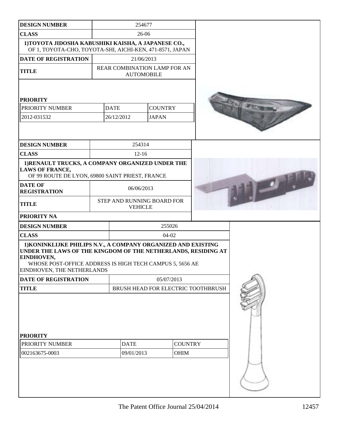| <b>DESIGN NUMBER</b>                                                                                                                                                                                                                   |            | 254677                        |                                    |  |  |  |
|----------------------------------------------------------------------------------------------------------------------------------------------------------------------------------------------------------------------------------------|------------|-------------------------------|------------------------------------|--|--|--|
| <b>CLASS</b>                                                                                                                                                                                                                           | 26-06      |                               |                                    |  |  |  |
| 1) TOYOTA JIDOSHA KABUSHIKI KAISHA, A JAPANESE CO.,<br>OF 1, TOYOTA-CHO, TOYOTA-SHI, AICHI-KEN, 471-8571, JAPAN                                                                                                                        |            |                               |                                    |  |  |  |
| <b>DATE OF REGISTRATION</b>                                                                                                                                                                                                            |            |                               | 21/06/2013                         |  |  |  |
| <b>TITLE</b>                                                                                                                                                                                                                           |            | REAR COMBINATION LAMP FOR AN  | <b>AUTOMOBILE</b>                  |  |  |  |
| <b>PRIORITY</b>                                                                                                                                                                                                                        |            |                               |                                    |  |  |  |
| PRIORITY NUMBER                                                                                                                                                                                                                        |            | <b>DATE</b>                   | <b>COUNTRY</b>                     |  |  |  |
| 2012-031532                                                                                                                                                                                                                            |            | 26/12/2012                    | <b>JAPAN</b>                       |  |  |  |
|                                                                                                                                                                                                                                        |            |                               |                                    |  |  |  |
| <b>DESIGN NUMBER</b>                                                                                                                                                                                                                   |            |                               | 254314                             |  |  |  |
| <b>CLASS</b>                                                                                                                                                                                                                           |            |                               | $12 - 16$                          |  |  |  |
| 1) RENAULT TRUCKS, A COMPANY ORGANIZED UNDER THE<br><b>LAWS OF FRANCE,</b><br>OF 99 ROUTE DE LYON, 69800 SAINT PRIEST, FRANCE                                                                                                          |            |                               |                                    |  |  |  |
| <b>DATE OF</b><br><b>REGISTRATION</b>                                                                                                                                                                                                  |            | 06/06/2013                    |                                    |  |  |  |
| <b>TITLE</b>                                                                                                                                                                                                                           |            | STEP AND RUNNING BOARD FOR    | <b>VEHICLE</b>                     |  |  |  |
| <b>PRIORITY NA</b>                                                                                                                                                                                                                     |            |                               |                                    |  |  |  |
| <b>DESIGN NUMBER</b>                                                                                                                                                                                                                   |            |                               | 255026                             |  |  |  |
| <b>CLASS</b>                                                                                                                                                                                                                           |            |                               | $04-02$                            |  |  |  |
| 1) KONINKLIJKE PHILIPS N.V., A COMPANY ORGANIZED AND EXISTING<br>UNDER THE LAWS OF THE KINGDOM OF THE NETHERLANDS, RESIDING AT<br>EINDHOVEN,<br>WHOSE POST-OFFICE ADDRESS IS HIGH TECH CAMPUS 5, 5656 AE<br>EINDHOVEN, THE NETHERLANDS |            |                               |                                    |  |  |  |
| DATE OF REGISTRATION                                                                                                                                                                                                                   |            |                               | 05/07/2013                         |  |  |  |
| <b>TITLE</b>                                                                                                                                                                                                                           |            |                               | BRUSH HEAD FOR ELECTRIC TOOTHBRUSH |  |  |  |
| <b>PRIORITY</b>                                                                                                                                                                                                                        |            |                               |                                    |  |  |  |
| PRIORITY NUMBER                                                                                                                                                                                                                        |            | <b>DATE</b><br><b>COUNTRY</b> |                                    |  |  |  |
| 002163675-0003                                                                                                                                                                                                                         | 09/01/2013 |                               | OHIM                               |  |  |  |
|                                                                                                                                                                                                                                        |            |                               |                                    |  |  |  |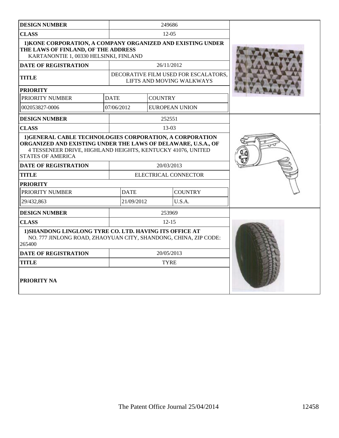| <b>DESIGN NUMBER</b>                                                                                                                                                                    |                                    | 249686                                                            |  |  |
|-----------------------------------------------------------------------------------------------------------------------------------------------------------------------------------------|------------------------------------|-------------------------------------------------------------------|--|--|
| <b>CLASS</b>                                                                                                                                                                            |                                    | $12 - 0.5$                                                        |  |  |
| 1) KONE CORPORATION, A COMPANY ORGANIZED AND EXISTING UNDER<br>THE LAWS OF FINLAND, OF THE ADDRESS<br>KARTANONTIE 1, 00330 HELSINKI, FINLAND                                            |                                    |                                                                   |  |  |
| <b>DATE OF REGISTRATION</b>                                                                                                                                                             |                                    | 26/11/2012                                                        |  |  |
| <b>TITLE</b>                                                                                                                                                                            |                                    | DECORATIVE FILM USED FOR ESCALATORS,<br>LIFTS AND MOVING WALKWAYS |  |  |
| <b>PRIORITY</b>                                                                                                                                                                         |                                    |                                                                   |  |  |
| PRIORITY NUMBER                                                                                                                                                                         | <b>DATE</b>                        | <b>COUNTRY</b>                                                    |  |  |
| 002053827-0006                                                                                                                                                                          | 07/06/2012                         | <b>EUROPEAN UNION</b>                                             |  |  |
| <b>DESIGN NUMBER</b>                                                                                                                                                                    |                                    | 252551                                                            |  |  |
| <b>CLASS</b>                                                                                                                                                                            |                                    | $13-03$                                                           |  |  |
| ORGANIZED AND EXISTING UNDER THE LAWS OF DELAWARE, U.S.A., OF<br>4 TESSENEER DRIVE, HIGHLAND HEIGHTS, KENTUCKY 41076, UNITED<br><b>STATES OF AMERICA</b><br><b>DATE OF REGISTRATION</b> |                                    |                                                                   |  |  |
| <b>TITLE</b>                                                                                                                                                                            | 20/03/2013<br>ELECTRICAL CONNECTOR |                                                                   |  |  |
| <b>PRIORITY</b>                                                                                                                                                                         |                                    |                                                                   |  |  |
| PRIORITY NUMBER                                                                                                                                                                         | <b>COUNTRY</b><br><b>DATE</b>      |                                                                   |  |  |
| 29/432,863                                                                                                                                                                              | 21/09/2012<br>U.S.A.               |                                                                   |  |  |
| <b>DESIGN NUMBER</b>                                                                                                                                                                    | 253969                             |                                                                   |  |  |
| <b>CLASS</b>                                                                                                                                                                            |                                    | $12 - 15$                                                         |  |  |
| 1) SHANDONG LINGLONG TYRE CO. LTD. HAVING ITS OFFICE AT<br>NO. 777 JINLONG ROAD, ZHAOYUAN CITY, SHANDONG, CHINA, ZIP CODE:<br>265400                                                    |                                    |                                                                   |  |  |
| <b>DATE OF REGISTRATION</b>                                                                                                                                                             |                                    | 20/05/2013                                                        |  |  |
| <b>TITLE</b>                                                                                                                                                                            |                                    | <b>TYRE</b>                                                       |  |  |
| PRIORITY NA                                                                                                                                                                             |                                    |                                                                   |  |  |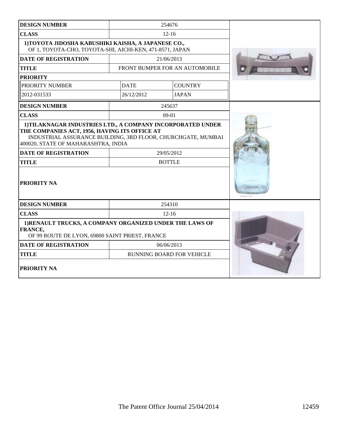| <b>DESIGN NUMBER</b>                                                                                                   |                                                                                                                                                                                                             |                                  |  |  |  |
|------------------------------------------------------------------------------------------------------------------------|-------------------------------------------------------------------------------------------------------------------------------------------------------------------------------------------------------------|----------------------------------|--|--|--|
| <b>CLASS</b>                                                                                                           |                                                                                                                                                                                                             |                                  |  |  |  |
| 1) TOYOTA JIDOSHA KABUSHIKI KAISHA, A JAPANESE CO.,<br>OF 1, TOYOTA-CHO, TOYOTA-SHI, AICHI-KEN, 471-8571, JAPAN        |                                                                                                                                                                                                             |                                  |  |  |  |
| <b>DATE OF REGISTRATION</b>                                                                                            |                                                                                                                                                                                                             | 21/06/2013                       |  |  |  |
| <b>TITLE</b>                                                                                                           |                                                                                                                                                                                                             | FRONT BUMPER FOR AN AUTOMOBILE   |  |  |  |
| <b>PRIORITY</b>                                                                                                        |                                                                                                                                                                                                             |                                  |  |  |  |
| PRIORITY NUMBER                                                                                                        | <b>DATE</b>                                                                                                                                                                                                 | <b>COUNTRY</b>                   |  |  |  |
| 2012-031533                                                                                                            | 26/12/2012                                                                                                                                                                                                  | <b>JAPAN</b>                     |  |  |  |
| <b>DESIGN NUMBER</b>                                                                                                   |                                                                                                                                                                                                             | 245637                           |  |  |  |
| <b>CLASS</b>                                                                                                           |                                                                                                                                                                                                             | $09-01$                          |  |  |  |
| 400020, STATE OF MAHARASHTRA, INDIA<br><b>DATE OF REGISTRATION</b><br><b>TITLE</b><br>PRIORITY NA                      | 1) TILAKNAGAR INDUSTRIES LTD., A COMPANY INCORPORATED UNDER<br>THE COMPANIES ACT, 1956, HAVING ITS OFFICE AT<br>INDUSTRIAL ASSURANCE BUILDING, 3RD FLOOR, CHURCHGATE, MUMBAI<br>29/05/2012<br><b>BOTTLE</b> |                                  |  |  |  |
| <b>DESIGN NUMBER</b>                                                                                                   | 254310                                                                                                                                                                                                      |                                  |  |  |  |
| <b>CLASS</b>                                                                                                           |                                                                                                                                                                                                             |                                  |  |  |  |
| 1) RENAULT TRUCKS, A COMPANY ORGANIZED UNDER THE LAWS OF<br>FRANCE,<br>OF 99 ROUTE DE LYON, 69800 SAINT PRIEST, FRANCE |                                                                                                                                                                                                             |                                  |  |  |  |
| 06/06/2013<br><b>DATE OF REGISTRATION</b>                                                                              |                                                                                                                                                                                                             |                                  |  |  |  |
| <b>TITLE</b>                                                                                                           |                                                                                                                                                                                                             | <b>RUNNING BOARD FOR VEHICLE</b> |  |  |  |
| PRIORITY NA                                                                                                            |                                                                                                                                                                                                             |                                  |  |  |  |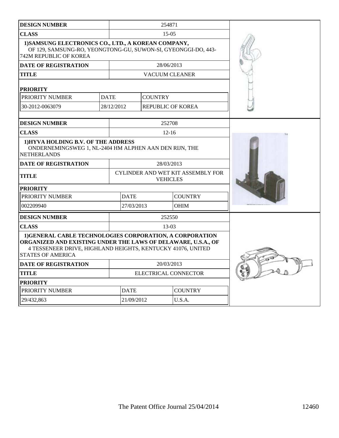| <b>DESIGN NUMBER</b>                                                                                                                                                                                                 |             | 254871                                               |                          |                |  |
|----------------------------------------------------------------------------------------------------------------------------------------------------------------------------------------------------------------------|-------------|------------------------------------------------------|--------------------------|----------------|--|
| <b>CLASS</b>                                                                                                                                                                                                         |             | $15-0.5$                                             |                          |                |  |
| 1) SAMSUNG ELECTRONICS CO., LTD., A KOREAN COMPANY,<br>OF 129, SAMSUNG-RO, YEONGTONG-GU, SUWON-SI, GYEONGGI-DO, 443-<br>742M REPUBLIC OF KOREA                                                                       |             |                                                      |                          |                |  |
| <b>DATE OF REGISTRATION</b>                                                                                                                                                                                          |             |                                                      | 28/06/2013               |                |  |
| <b>TITLE</b>                                                                                                                                                                                                         |             |                                                      | <b>VACUUM CLEANER</b>    |                |  |
| <b>PRIORITY</b>                                                                                                                                                                                                      |             |                                                      |                          |                |  |
| PRIORITY NUMBER                                                                                                                                                                                                      | <b>DATE</b> |                                                      | <b>COUNTRY</b>           |                |  |
| 30-2012-0063079                                                                                                                                                                                                      | 28/12/2012  |                                                      | <b>REPUBLIC OF KOREA</b> |                |  |
| <b>DESIGN NUMBER</b>                                                                                                                                                                                                 |             |                                                      | 252708                   |                |  |
| <b>CLASS</b>                                                                                                                                                                                                         |             |                                                      | $12 - 16$                |                |  |
| 1) HYVA HOLDING B.V. OF THE ADDRESS<br>ONDERNEMINGSWEG 1, NL-2404 HM ALPHEN AAN DEN RIJN, THE<br><b>NETHERLANDS</b>                                                                                                  |             |                                                      |                          |                |  |
| <b>DATE OF REGISTRATION</b>                                                                                                                                                                                          |             | 28/03/2013                                           |                          |                |  |
| <b>TITLE</b>                                                                                                                                                                                                         |             | CYLINDER AND WET KIT ASSEMBLY FOR<br><b>VEHICLES</b> |                          |                |  |
| <b>PRIORITY</b>                                                                                                                                                                                                      |             |                                                      |                          |                |  |
| PRIORITY NUMBER                                                                                                                                                                                                      |             | <b>DATE</b>                                          |                          | <b>COUNTRY</b> |  |
| 002209940                                                                                                                                                                                                            |             | 27/03/2013                                           |                          | <b>OHIM</b>    |  |
| <b>DESIGN NUMBER</b>                                                                                                                                                                                                 |             | 252550                                               |                          |                |  |
| <b>CLASS</b>                                                                                                                                                                                                         | $13-03$     |                                                      |                          |                |  |
| 1) GENERAL CABLE TECHNOLOGIES CORPORATION, A CORPORATION<br>ORGANIZED AND EXISTING UNDER THE LAWS OF DELAWARE, U.S.A., OF<br>4 TESSENEER DRIVE, HIGHLAND HEIGHTS, KENTUCKY 41076, UNITED<br><b>STATES OF AMERICA</b> |             |                                                      |                          |                |  |
| <b>DATE OF REGISTRATION</b>                                                                                                                                                                                          |             | 20/03/2013                                           |                          |                |  |
| <b>TITLE</b>                                                                                                                                                                                                         |             | ELECTRICAL CONNECTOR                                 |                          |                |  |
| <b>PRIORITY</b>                                                                                                                                                                                                      |             |                                                      |                          |                |  |
| PRIORITY NUMBER                                                                                                                                                                                                      |             | <b>DATE</b>                                          |                          | <b>COUNTRY</b> |  |
| 29/432,863                                                                                                                                                                                                           |             | 21/09/2012                                           |                          | U.S.A.         |  |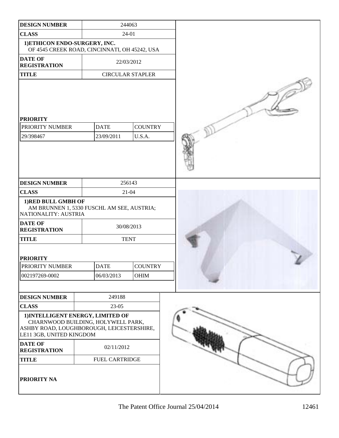| <b>DESIGN NUMBER</b>                                                                                                                             |                                               | 244063                   |  |
|--------------------------------------------------------------------------------------------------------------------------------------------------|-----------------------------------------------|--------------------------|--|
| <b>CLASS</b>                                                                                                                                     | $24 - 01$                                     |                          |  |
| 1) ETHICON ENDO-SURGERY, INC.                                                                                                                    | OF 4545 CREEK ROAD, CINCINNATI, OH 45242, USA |                          |  |
| <b>DATE OF</b><br><b>REGISTRATION</b>                                                                                                            |                                               | 22/03/2012               |  |
| <b>TITLE</b>                                                                                                                                     |                                               | <b>CIRCULAR STAPLER</b>  |  |
| <b>PRIORITY</b><br>PRIORITY NUMBER<br>29/398467                                                                                                  | <b>DATE</b><br>23/09/2011                     | <b>COUNTRY</b><br>U.S.A. |  |
| <b>DESIGN NUMBER</b>                                                                                                                             |                                               | 256143                   |  |
| <b>CLASS</b>                                                                                                                                     |                                               | $21 - 04$                |  |
| 1) RED BULL GMBH OF<br>NATIONALITY: AUSTRIA                                                                                                      | AM BRUNNEN 1, 5330 FUSCHL AM SEE, AUSTRIA;    |                          |  |
| <b>DATE OF</b><br><b>REGISTRATION</b>                                                                                                            |                                               | 30/08/2013               |  |
| <b>TITLE</b>                                                                                                                                     |                                               | <b>TENT</b>              |  |
| <b>PRIORITY</b>                                                                                                                                  |                                               |                          |  |
| <b>PRIORITY NUMBER</b>                                                                                                                           | <b>DATE</b>                                   | <b>COUNTRY</b>           |  |
| 002197269-0002                                                                                                                                   | 06/03/2013                                    | <b>OHIM</b>              |  |
|                                                                                                                                                  |                                               |                          |  |
| <b>DESIGN NUMBER</b>                                                                                                                             | 249188                                        |                          |  |
| <b>CLASS</b>                                                                                                                                     | 23-05                                         |                          |  |
| 1) INTELLIGENT ENERGY, LIMITED OF<br>CHARNWOOD BUILDING, HOLYWELL PARK,<br>ASHBY ROAD, LOUGHBOROUGH, LEICESTERSHIRE,<br>LE11 3GB, UNITED KINGDOM |                                               |                          |  |
| <b>DATE OF</b><br><b>REGISTRATION</b>                                                                                                            | 02/11/2012                                    |                          |  |
| <b>TITLE</b>                                                                                                                                     | FUEL CARTRIDGE                                |                          |  |
| PRIORITY NA                                                                                                                                      |                                               |                          |  |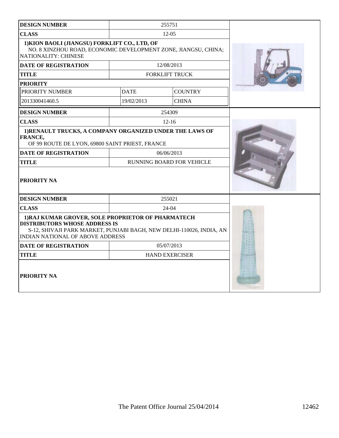| <b>DESIGN NUMBER</b>                                                                                                                                                                                          | 255751                    |                |  |
|---------------------------------------------------------------------------------------------------------------------------------------------------------------------------------------------------------------|---------------------------|----------------|--|
| <b>CLASS</b>                                                                                                                                                                                                  | $12-05$                   |                |  |
| 1) KION BAOLI (JIANGSU) FORKLIFT CO., LTD, OF<br>NO. 8 XINZHOU ROAD, ECONOMIC DEVELOPMENT ZONE, JIANGSU, CHINA;<br>NATIONALITY: CHINESE                                                                       |                           |                |  |
| <b>DATE OF REGISTRATION</b>                                                                                                                                                                                   | 12/08/2013                |                |  |
| <b>TITLE</b>                                                                                                                                                                                                  | <b>FORKLIFT TRUCK</b>     |                |  |
| <b>PRIORITY</b>                                                                                                                                                                                               |                           |                |  |
| PRIORITY NUMBER                                                                                                                                                                                               | <b>DATE</b>               | <b>COUNTRY</b> |  |
| 201330041460.5                                                                                                                                                                                                | 19/02/2013                | <b>CHINA</b>   |  |
| <b>DESIGN NUMBER</b>                                                                                                                                                                                          | 254309                    |                |  |
| <b>CLASS</b>                                                                                                                                                                                                  | $12 - 16$                 |                |  |
| 1) RENAULT TRUCKS, A COMPANY ORGANIZED UNDER THE LAWS OF<br>FRANCE,<br>OF 99 ROUTE DE LYON, 69800 SAINT PRIEST, FRANCE                                                                                        |                           |                |  |
| <b>DATE OF REGISTRATION</b>                                                                                                                                                                                   | 06/06/2013                |                |  |
| <b>TITLE</b>                                                                                                                                                                                                  | RUNNING BOARD FOR VEHICLE |                |  |
| <b>PRIORITY NA</b>                                                                                                                                                                                            |                           |                |  |
| <b>DESIGN NUMBER</b>                                                                                                                                                                                          | 255021                    |                |  |
| <b>CLASS</b>                                                                                                                                                                                                  | $24-04$                   |                |  |
| 1) RAJ KUMAR GROVER, SOLE PROPRIETOR OF PHARMATECH<br><b>DISTRIBUTORS WHOSE ADDRESS IS</b><br>S-12, SHIVAJI PARK MARKET, PUNJABI BAGH, NEW DELHI-110026, INDIA, AN<br><b>INDIAN NATIONAL OF ABOVE ADDRESS</b> |                           |                |  |
| 05/07/2013<br><b>DATE OF REGISTRATION</b>                                                                                                                                                                     |                           |                |  |
| <b>TITLE</b>                                                                                                                                                                                                  | <b>HAND EXERCISER</b>     |                |  |
| <b>PRIORITY NA</b>                                                                                                                                                                                            |                           |                |  |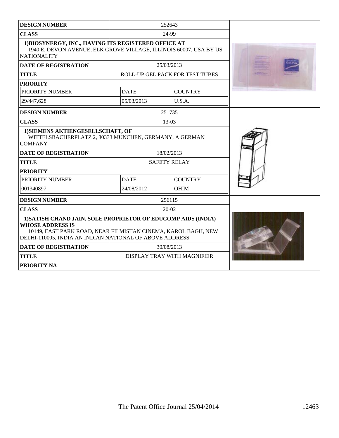| <b>DESIGN NUMBER</b>                                                                                                                                                                                                 |             | 252643                          |  |
|----------------------------------------------------------------------------------------------------------------------------------------------------------------------------------------------------------------------|-------------|---------------------------------|--|
| <b>CLASS</b>                                                                                                                                                                                                         |             |                                 |  |
| 1) BIOSYNERGY, INC., HAVING ITS REGISTERED OFFICE AT<br>1940 E. DEVON AVENUE, ELK GROVE VILLAGE, ILLINOIS 60007, USA BY US<br><b>NATIONALITY</b>                                                                     |             |                                 |  |
| <b>DATE OF REGISTRATION</b>                                                                                                                                                                                          |             | 25/03/2013                      |  |
| <b>TITLE</b>                                                                                                                                                                                                         |             | ROLL-UP GEL PACK FOR TEST TUBES |  |
| <b>PRIORITY</b>                                                                                                                                                                                                      |             |                                 |  |
| PRIORITY NUMBER                                                                                                                                                                                                      | <b>DATE</b> | <b>COUNTRY</b>                  |  |
| 29/447,628                                                                                                                                                                                                           | 05/03/2013  | U.S.A.                          |  |
| <b>DESIGN NUMBER</b>                                                                                                                                                                                                 |             | 251735                          |  |
| <b>CLASS</b>                                                                                                                                                                                                         |             | $13-03$                         |  |
| 1) SIEMENS AKTIENGESELLSCHAFT, OF<br>WITTELSBACHERPLATZ 2, 80333 MUNCHEN, GERMANY, A GERMAN<br><b>COMPANY</b>                                                                                                        |             |                                 |  |
| <b>DATE OF REGISTRATION</b>                                                                                                                                                                                          |             | 18/02/2013                      |  |
| <b>TITLE</b>                                                                                                                                                                                                         |             | <b>SAFETY RELAY</b>             |  |
| <b>PRIORITY</b>                                                                                                                                                                                                      |             |                                 |  |
| PRIORITY NUMBER                                                                                                                                                                                                      | <b>DATE</b> | <b>COUNTRY</b>                  |  |
| 001340897                                                                                                                                                                                                            | 24/08/2012  | <b>OHIM</b>                     |  |
| <b>DESIGN NUMBER</b>                                                                                                                                                                                                 |             | 256115                          |  |
| <b>CLASS</b>                                                                                                                                                                                                         |             |                                 |  |
| 1) SATISH CHAND JAIN, SOLE PROPRIETOR OF EDUCOMP AIDS (INDIA)<br><b>WHOSE ADDRESS IS</b><br>10149, EAST PARK ROAD, NEAR FILMISTAN CINEMA, KAROL BAGH, NEW<br>DELHI-110005, INDIA AN INDIAN NATIONAL OF ABOVE ADDRESS |             |                                 |  |
| <b>DATE OF REGISTRATION</b>                                                                                                                                                                                          | 30/08/2013  |                                 |  |
| DISPLAY TRAY WITH MAGNIFIER<br><b>TITLE</b>                                                                                                                                                                          |             |                                 |  |
| <b>PRIORITY NA</b>                                                                                                                                                                                                   |             |                                 |  |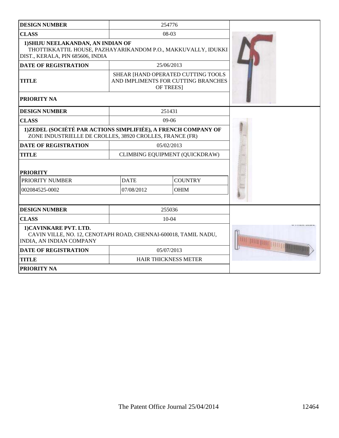| <b>DESIGN NUMBER</b>                                                                                                                    |                            | 254776                                                                                 |  |
|-----------------------------------------------------------------------------------------------------------------------------------------|----------------------------|----------------------------------------------------------------------------------------|--|
| <b>CLASS</b>                                                                                                                            | 08-03                      |                                                                                        |  |
| 1) SHIJU NEELAKANDAN, AN INDIAN OF<br>THOTTIKKATTIL HOUSE, PAZHAYARIKANDOM P.O., MAKKUVALLY, IDUKKI<br>DIST., KERALA, PIN 685606, INDIA |                            |                                                                                        |  |
| <b>DATE OF REGISTRATION</b>                                                                                                             |                            | 25/06/2013                                                                             |  |
| <b>TITLE</b>                                                                                                                            |                            | SHEAR [HAND OPERATED CUTTING TOOLS<br>AND IMPLIMENTS FOR CUTTING BRANCHES<br>OF TREES] |  |
| PRIORITY NA                                                                                                                             |                            |                                                                                        |  |
| <b>DESIGN NUMBER</b>                                                                                                                    |                            | 251431                                                                                 |  |
| <b>CLASS</b>                                                                                                                            |                            | $09-06$                                                                                |  |
| 1)ZEDEL (SOCIÉTÉ PAR ACTIONS SIMPLIFIÉE), A FRENCH COMPANY OF<br>ZONE INDUSTRIELLE DE CROLLES, 38920 CROLLES, FRANCE (FR)               |                            |                                                                                        |  |
| <b>DATE OF REGISTRATION</b>                                                                                                             |                            | 05/02/2013                                                                             |  |
| <b>TITLE</b>                                                                                                                            |                            | CLIMBING EQUIPMENT (QUICKDRAW)                                                         |  |
| <b>PRIORITY</b>                                                                                                                         |                            |                                                                                        |  |
| PRIORITY NUMBER                                                                                                                         | <b>DATE</b>                | <b>COUNTRY</b>                                                                         |  |
| 002084525-0002                                                                                                                          | 07/08/2012                 | <b>OHIM</b>                                                                            |  |
|                                                                                                                                         |                            |                                                                                        |  |
| <b>DESIGN NUMBER</b>                                                                                                                    |                            | 255036                                                                                 |  |
| <b>CLASS</b>                                                                                                                            |                            | $10-04$                                                                                |  |
| 1) CAVINKARE PVT. LTD.<br>CAVIN VILLE, NO. 12, CENOTAPH ROAD, CHENNAI-600018, TAMIL NADU,<br>INDIA, AN INDIAN COMPANY                   | <b>THE RUT TIDE REGION</b> |                                                                                        |  |
| <b>DATE OF REGISTRATION</b><br>05/07/2013                                                                                               |                            |                                                                                        |  |
| <b>TITLE</b>                                                                                                                            |                            | <b>HAIR THICKNESS METER</b>                                                            |  |
| <b>PRIORITY NA</b>                                                                                                                      |                            |                                                                                        |  |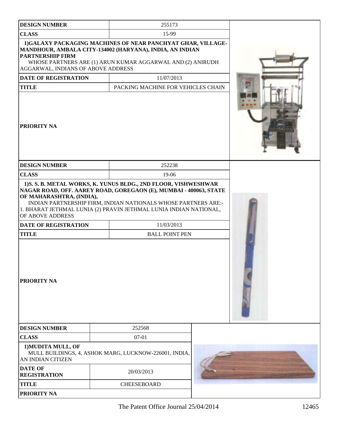| <b>DESIGN NUMBER</b>                                                                                                                                                                                                                                                                    | 255173                                                |  |  |  |  |  |  |
|-----------------------------------------------------------------------------------------------------------------------------------------------------------------------------------------------------------------------------------------------------------------------------------------|-------------------------------------------------------|--|--|--|--|--|--|
| <b>CLASS</b>                                                                                                                                                                                                                                                                            | 15-99                                                 |  |  |  |  |  |  |
| 1) GALAXY PACKAGING MACHINES OF NEAR PANCHYAT GHAR, VILLAGE-<br>MANDHOUR, AMBALA CITY-134002 (HARYANA), INDIA, AN INDIAN<br><b>PARTNERSHIP FIRM</b><br>WHOSE PARTNERS ARE (1) ARUN KUMAR AGGARWAL AND (2) ANIRUDH<br>AGGARWAL, INDIANS OF ABOVE ADDRESS                                 |                                                       |  |  |  |  |  |  |
| <b>DATE OF REGISTRATION</b>                                                                                                                                                                                                                                                             | 11/07/2013                                            |  |  |  |  |  |  |
| <b>TITLE</b>                                                                                                                                                                                                                                                                            | PACKING MACHINE FOR VEHICLES CHAIN                    |  |  |  |  |  |  |
| <b>PRIORITY NA</b>                                                                                                                                                                                                                                                                      |                                                       |  |  |  |  |  |  |
| <b>DESIGN NUMBER</b>                                                                                                                                                                                                                                                                    | 252238                                                |  |  |  |  |  |  |
| <b>CLASS</b>                                                                                                                                                                                                                                                                            | 19-06                                                 |  |  |  |  |  |  |
| NAGAR ROAD, OFF. AAREY ROAD, GOREGAON (E), MUMBAI - 400063, STATE<br>OF MAHARASHTRA, (INDIA),<br>INDIAN PARTNERSHIP FIRM, INDIAN NATIONALS WHOSE PARTNERS ARE:-<br>1. BHARAT JETHMAL LUNIA (2) PRAVIN JETHMAL LUNIA INDIAN NATIONAL,<br>OF ABOVE ADDRESS<br><b>DATE OF REGISTRATION</b> |                                                       |  |  |  |  |  |  |
| <b>TITLE</b>                                                                                                                                                                                                                                                                            | <b>BALL POINT PEN</b>                                 |  |  |  |  |  |  |
| <b>PRIORITY NA</b>                                                                                                                                                                                                                                                                      |                                                       |  |  |  |  |  |  |
| <b>DESIGN NUMBER</b>                                                                                                                                                                                                                                                                    | 252568                                                |  |  |  |  |  |  |
| <b>CLASS</b>                                                                                                                                                                                                                                                                            | $07 - 01$                                             |  |  |  |  |  |  |
| 1) MUDITA MULL, OF<br>AN INDIAN CITIZEN                                                                                                                                                                                                                                                 | MULL BUILDINGS, 4, ASHOK MARG, LUCKNOW-226001, INDIA, |  |  |  |  |  |  |
| <b>DATE OF</b><br><b>REGISTRATION</b>                                                                                                                                                                                                                                                   | 20/03/2013                                            |  |  |  |  |  |  |
| <b>TITLE</b>                                                                                                                                                                                                                                                                            | <b>CHEESEBOARD</b>                                    |  |  |  |  |  |  |
| <b>PRIORITY NA</b>                                                                                                                                                                                                                                                                      |                                                       |  |  |  |  |  |  |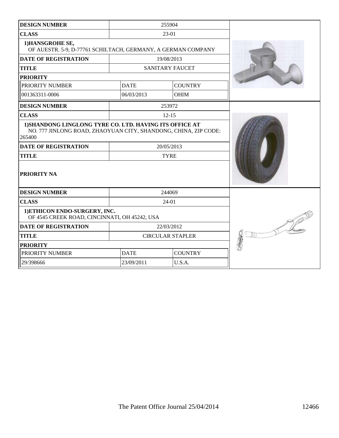| <b>DESIGN NUMBER</b>                                                                                                                                                                               |                               | 255904                    |  |
|----------------------------------------------------------------------------------------------------------------------------------------------------------------------------------------------------|-------------------------------|---------------------------|--|
| <b>CLASS</b>                                                                                                                                                                                       |                               | 23-01                     |  |
| 1) HANSGROHE SE,<br>OF AUESTR. 5-9, D-77761 SCHILTACH, GERMANY, A GERMAN COMPANY                                                                                                                   |                               |                           |  |
| <b>DATE OF REGISTRATION</b>                                                                                                                                                                        |                               | 19/08/2013                |  |
| <b>TITLE</b>                                                                                                                                                                                       |                               | <b>SANITARY FAUCET</b>    |  |
| <b>PRIORITY</b>                                                                                                                                                                                    |                               |                           |  |
| PRIORITY NUMBER                                                                                                                                                                                    | <b>DATE</b>                   | <b>COUNTRY</b>            |  |
| 001363311-0006                                                                                                                                                                                     | 06/03/2013                    | <b>OHIM</b>               |  |
| <b>DESIGN NUMBER</b>                                                                                                                                                                               |                               | 253972                    |  |
| <b>CLASS</b>                                                                                                                                                                                       |                               | $12 - 15$                 |  |
| 1) SHANDONG LINGLONG TYRE CO. LTD. HAVING ITS OFFICE AT<br>NO. 777 JINLONG ROAD, ZHAOYUAN CITY, SHANDONG, CHINA, ZIP CODE:<br>265400<br><b>DATE OF REGISTRATION</b><br><b>TITLE</b><br>PRIORITY NA |                               | 20/05/2013<br><b>TYRE</b> |  |
| <b>DESIGN NUMBER</b>                                                                                                                                                                               |                               | 244069                    |  |
| <b>CLASS</b>                                                                                                                                                                                       |                               | 24-01                     |  |
| 1) ETHICON ENDO-SURGERY, INC.<br>OF 4545 CREEK ROAD, CINCINNATI, OH 45242, USA                                                                                                                     |                               |                           |  |
| <b>DATE OF REGISTRATION</b>                                                                                                                                                                        | 22/03/2012                    |                           |  |
| <b>TITLE</b>                                                                                                                                                                                       | <b>CIRCULAR STAPLER</b>       |                           |  |
| <b>PRIORITY</b>                                                                                                                                                                                    |                               |                           |  |
| PRIORITY NUMBER                                                                                                                                                                                    | <b>DATE</b><br><b>COUNTRY</b> |                           |  |
| 29/398666                                                                                                                                                                                          | 23/09/2011<br>U.S.A.          |                           |  |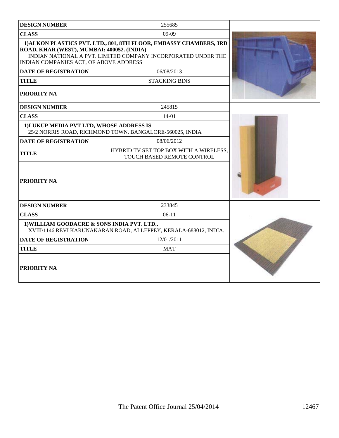| <b>DESIGN NUMBER</b>                                                                 | 255685                                                                                                                              |  |
|--------------------------------------------------------------------------------------|-------------------------------------------------------------------------------------------------------------------------------------|--|
| <b>CLASS</b>                                                                         | 09-09                                                                                                                               |  |
| ROAD, KHAR (WEST), MUMBAI: 400052. (INDIA)<br>INDIAN COMPANIES ACT, OF ABOVE ADDRESS | 1) ALKON PLASTICS PVT. LTD., 801, 8TH FLOOR, EMBASSY CHAMBERS, 3RD<br>INDIAN NATIONAL A PVT. LIMITED COMPANY INCORPORATED UNDER THE |  |
| <b>DATE OF REGISTRATION</b>                                                          | 06/08/2013                                                                                                                          |  |
| <b>TITLE</b>                                                                         | <b>STACKING BINS</b>                                                                                                                |  |
| PRIORITY NA                                                                          |                                                                                                                                     |  |
| <b>DESIGN NUMBER</b>                                                                 | 245815                                                                                                                              |  |
| <b>CLASS</b>                                                                         | $14 - 01$                                                                                                                           |  |
| 1) LUKUP MEDIA PVT LTD, WHOSE ADDRESS IS                                             | 25/2 NORRIS ROAD, RICHMOND TOWN, BANGALORE-560025, INDIA                                                                            |  |
| <b>DATE OF REGISTRATION</b>                                                          | 08/06/2012                                                                                                                          |  |
| <b>TITLE</b>                                                                         | HYBRID TV SET TOP BOX WITH A WIRELESS,<br>TOUCH BASED REMOTE CONTROL                                                                |  |
| PRIORITY NA                                                                          |                                                                                                                                     |  |
| <b>DESIGN NUMBER</b>                                                                 | 233845                                                                                                                              |  |
| <b>CLASS</b>                                                                         | $06-11$                                                                                                                             |  |
| 1) WILLIAM GOODACRE & SONS INDIA PVT. LTD.,                                          | XVIII/1146 REVI KARUNAKARAN ROAD, ALLEPPEY, KERALA-688012, INDIA.                                                                   |  |
| <b>DATE OF REGISTRATION</b>                                                          |                                                                                                                                     |  |
| <b>TITLE</b>                                                                         | <b>MAT</b>                                                                                                                          |  |
| PRIORITY NA                                                                          |                                                                                                                                     |  |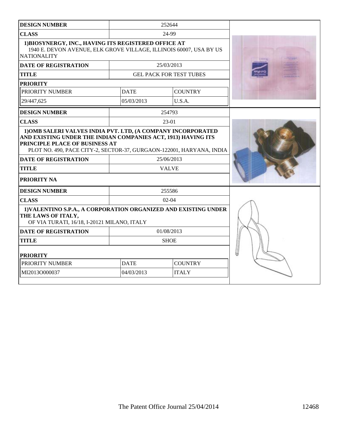| <b>DESIGN NUMBER</b>                                                                                                                                                                                                                         |             | 252644                         |  |
|----------------------------------------------------------------------------------------------------------------------------------------------------------------------------------------------------------------------------------------------|-------------|--------------------------------|--|
| <b>CLASS</b>                                                                                                                                                                                                                                 |             | 24-99                          |  |
| 1) BIOSYNERGY, INC., HAVING ITS REGISTERED OFFICE AT<br>1940 E. DEVON AVENUE, ELK GROVE VILLAGE, ILLINOIS 60007, USA BY US<br><b>NATIONALITY</b>                                                                                             |             |                                |  |
| <b>DATE OF REGISTRATION</b>                                                                                                                                                                                                                  |             | 25/03/2013                     |  |
| <b>TITLE</b>                                                                                                                                                                                                                                 |             | <b>GEL PACK FOR TEST TUBES</b> |  |
| <b>PRIORITY</b>                                                                                                                                                                                                                              |             |                                |  |
| PRIORITY NUMBER                                                                                                                                                                                                                              | <b>DATE</b> | <b>COUNTRY</b>                 |  |
| 29/447,625                                                                                                                                                                                                                                   | 05/03/2013  | U.S.A.                         |  |
| <b>DESIGN NUMBER</b>                                                                                                                                                                                                                         |             | 254793                         |  |
| <b>CLASS</b>                                                                                                                                                                                                                                 |             | $23-01$                        |  |
| AND EXISTING UNDER THE INDIAN COMPANIES ACT, 1913) HAVING ITS<br>PRINCIPLE PLACE OF BUSINESS AT<br>PLOT NO. 490, PACE CITY-2, SECTOR-37, GURGAON-122001, HARYANA, INDIA<br><b>DATE OF REGISTRATION</b><br><b>TITLE</b><br><b>PRIORITY NA</b> |             | 25/06/2013<br><b>VALVE</b>     |  |
| <b>DESIGN NUMBER</b>                                                                                                                                                                                                                         |             | 255586                         |  |
| <b>CLASS</b>                                                                                                                                                                                                                                 | $02-04$     |                                |  |
| 1) VALENTINO S.P.A., A CORPORATION ORGANIZED AND EXISTING UNDER<br>THE LAWS OF ITALY,<br>OF VIA TURATI, 16/18, I-20121 MILANO, ITALY                                                                                                         |             |                                |  |
| <b>DATE OF REGISTRATION</b>                                                                                                                                                                                                                  |             | 01/08/2013                     |  |
| <b>TITLE</b>                                                                                                                                                                                                                                 | <b>SHOE</b> |                                |  |
| <b>PRIORITY</b>                                                                                                                                                                                                                              |             |                                |  |
| PRIORITY NUMBER                                                                                                                                                                                                                              | <b>DATE</b> | <b>COUNTRY</b>                 |  |
| MI2013O000037                                                                                                                                                                                                                                | 04/03/2013  | <b>ITALY</b>                   |  |
|                                                                                                                                                                                                                                              |             |                                |  |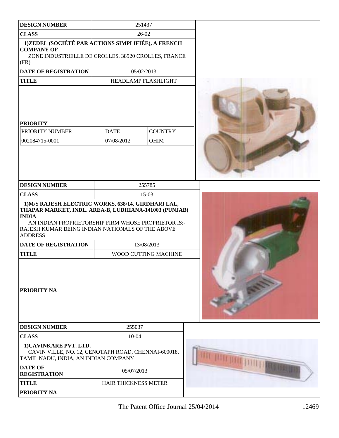| <b>DESIGN NUMBER</b>                                                                                                                                                                                                                                      |                      | 251437               |  |
|-----------------------------------------------------------------------------------------------------------------------------------------------------------------------------------------------------------------------------------------------------------|----------------------|----------------------|--|
| <b>CLASS</b>                                                                                                                                                                                                                                              | 26-02                |                      |  |
| 1)ZEDEL (SOCIÉTÉ PAR ACTIONS SIMPLIFIÉE), A FRENCH<br><b>COMPANY OF</b><br>ZONE INDUSTRIELLE DE CROLLES, 38920 CROLLES, FRANCE<br>(FR)                                                                                                                    |                      |                      |  |
| <b>DATE OF REGISTRATION</b>                                                                                                                                                                                                                               |                      | 05/02/2013           |  |
| <b>TITLE</b>                                                                                                                                                                                                                                              |                      | HEADLAMP FLASHLIGHT  |  |
| <b>PRIORITY</b><br>PRIORITY NUMBER                                                                                                                                                                                                                        | <b>DATE</b>          | <b>COUNTRY</b>       |  |
| 002084715-0001                                                                                                                                                                                                                                            | 07/08/2012           | <b>OHIM</b>          |  |
| <b>DESIGN NUMBER</b>                                                                                                                                                                                                                                      |                      | 255785               |  |
| <b>CLASS</b>                                                                                                                                                                                                                                              |                      | 15-03                |  |
| 1) M/S RAJESH ELECTRIC WORKS, 638/14, GIRDHARI LAL,<br>THAPAR MARKET, INDL. AREA-B, LUDHIANA-141003 (PUNJAB)<br><b>INDIA</b><br>AN INDIAN PROPRIETORSHIP FIRM WHOSE PROPRIETOR IS:-<br>RAJESH KUMAR BEING INDIAN NATIONALS OF THE ABOVE<br><b>ADDRESS</b> |                      |                      |  |
| <b>DATE OF REGISTRATION</b>                                                                                                                                                                                                                               |                      | 13/08/2013           |  |
| <b>TITLE</b>                                                                                                                                                                                                                                              |                      | WOOD CUTTING MACHINE |  |
| <b>PRIORITY NA</b>                                                                                                                                                                                                                                        |                      |                      |  |
| <b>DESIGN NUMBER</b>                                                                                                                                                                                                                                      | 255037               |                      |  |
| <b>CLASS</b>                                                                                                                                                                                                                                              | 10-04                |                      |  |
| 1)CAVINKARE PVT. LTD.<br>CAVIN VILLE, NO. 12, CENOTAPH ROAD, CHENNAI-600018,<br>TAMIL NADU, INDIA, AN INDIAN COMPANY                                                                                                                                      |                      |                      |  |
| <b>DATE OF</b><br><b>REGISTRATION</b>                                                                                                                                                                                                                     | 05/07/2013           |                      |  |
| <b>TITLE</b>                                                                                                                                                                                                                                              | HAIR THICKNESS METER |                      |  |
| PRIORITY NA                                                                                                                                                                                                                                               |                      |                      |  |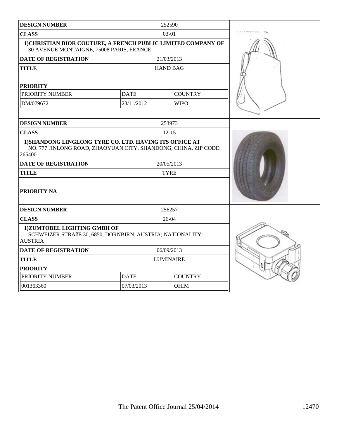| <b>DESIGN NUMBER</b>                                                                                                                 |                  | 252590          |  |
|--------------------------------------------------------------------------------------------------------------------------------------|------------------|-----------------|--|
| <b>CLASS</b>                                                                                                                         |                  | $03-01$         |  |
| 1) CHRISTIAN DIOR COUTURE, A FRENCH PUBLIC LIMITED COMPANY OF<br>30 AVENUE MONTAIGNE, 75008 PARIS, FRANCE                            |                  |                 |  |
| <b>DATE OF REGISTRATION</b>                                                                                                          |                  | 21/03/2013      |  |
| <b>TITLE</b>                                                                                                                         |                  | <b>HAND BAG</b> |  |
| <b>PRIORITY</b>                                                                                                                      |                  |                 |  |
| PRIORITY NUMBER                                                                                                                      | <b>DATE</b>      | <b>COUNTRY</b>  |  |
| DM/079672                                                                                                                            | 23/11/2012       | <b>WIPO</b>     |  |
|                                                                                                                                      |                  |                 |  |
| <b>DESIGN NUMBER</b>                                                                                                                 |                  | 253973          |  |
| <b>CLASS</b>                                                                                                                         |                  | $12 - 15$       |  |
| 1) SHANDONG LINGLONG TYRE CO. LTD. HAVING ITS OFFICE AT<br>NO. 777 JINLONG ROAD, ZHAOYUAN CITY, SHANDONG, CHINA, ZIP CODE:<br>265400 |                  |                 |  |
| <b>DATE OF REGISTRATION</b>                                                                                                          |                  | 20/05/2013      |  |
| <b>TITLE</b>                                                                                                                         |                  | <b>TYRE</b>     |  |
| <b>PRIORITY NA</b>                                                                                                                   |                  |                 |  |
| <b>DESIGN NUMBER</b>                                                                                                                 |                  | 256257          |  |
| <b>CLASS</b>                                                                                                                         |                  | 26-04           |  |
| 1) ZUMTOBEL LIGHTING GMBH OF<br>SCHWEIZER STRAßE 30, 6850, DORNBIRN, AUSTRIA; NATIONALITY:<br><b>AUSTRIA</b>                         |                  |                 |  |
| <b>DATE OF REGISTRATION</b>                                                                                                          |                  | 06/09/2013      |  |
| <b>TITLE</b>                                                                                                                         | <b>LUMINAIRE</b> |                 |  |
| <b>PRIORITY</b>                                                                                                                      |                  |                 |  |
| PRIORITY NUMBER                                                                                                                      | <b>DATE</b>      | <b>COUNTRY</b>  |  |
| 001363360                                                                                                                            | 07/03/2013       | <b>OHIM</b>     |  |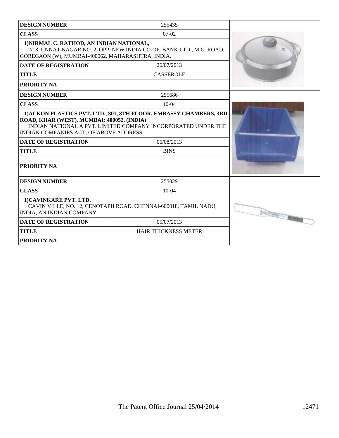| <b>DESIGN NUMBER</b>                                                                                                                                                                                                                                                                                    | 255435                           |  |  |
|---------------------------------------------------------------------------------------------------------------------------------------------------------------------------------------------------------------------------------------------------------------------------------------------------------|----------------------------------|--|--|
| <b>CLASS</b>                                                                                                                                                                                                                                                                                            | $07-02$                          |  |  |
| 1) NIRMAL C. RATHOD, AN INDIAN NATIONAL,<br>2/13, UNNAT NAGAR NO. 2, OPP. NEW INDIA CO-OP. BANK LTD., M.G. ROAD,<br>GOREGAON (W), MUMBAI-400062, MAHARASHTRA, INDIA.                                                                                                                                    |                                  |  |  |
| <b>DATE OF REGISTRATION</b>                                                                                                                                                                                                                                                                             | 26/07/2013                       |  |  |
| <b>TITLE</b>                                                                                                                                                                                                                                                                                            | <b>CASSEROLE</b>                 |  |  |
| <b>PRIORITY NA</b>                                                                                                                                                                                                                                                                                      |                                  |  |  |
| <b>DESIGN NUMBER</b>                                                                                                                                                                                                                                                                                    | 255686                           |  |  |
| <b>CLASS</b>                                                                                                                                                                                                                                                                                            | $10-04$                          |  |  |
| 1) ALKON PLASTICS PVT. LTD., 801, 8TH FLOOR, EMBASSY CHAMBERS, 3RD<br>ROAD, KHAR (WEST), MUMBAI: 400052. (INDIA)<br>INDIAN NATIONAL A PVT. LIMITED COMPANY INCORPORATED UNDER THE<br><b>INDIAN COMPANIES ACT, OF ABOVE ADDRESS</b><br><b>DATE OF REGISTRATION</b><br><b>TITLE</b><br><b>PRIORITY NA</b> |                                  |  |  |
| <b>DESIGN NUMBER</b>                                                                                                                                                                                                                                                                                    | 255029                           |  |  |
| <b>CLASS</b>                                                                                                                                                                                                                                                                                            | $10-04$                          |  |  |
| 1) CAVINKARE PVT. LTD.<br>CAVIN VILLE, NO. 12, CENOTAPH ROAD, CHENNAI-600018, TAMIL NADU,<br><b>INDIA, AN INDIAN COMPANY</b>                                                                                                                                                                            | marka formation <b>formation</b> |  |  |
| <b>DATE OF REGISTRATION</b>                                                                                                                                                                                                                                                                             | 05/07/2013                       |  |  |
| <b>TITLE</b>                                                                                                                                                                                                                                                                                            | <b>HAIR THICKNESS METER</b>      |  |  |
| <b>PRIORITY NA</b>                                                                                                                                                                                                                                                                                      |                                  |  |  |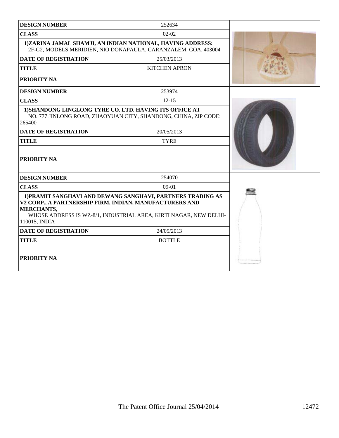| <b>DESIGN NUMBER</b>                                                                          | 252634                                                                                                                           |  |  |
|-----------------------------------------------------------------------------------------------|----------------------------------------------------------------------------------------------------------------------------------|--|--|
| <b>CLASS</b>                                                                                  | $02 - 02$                                                                                                                        |  |  |
|                                                                                               | 1)ZARINA JAMAL SHAMJI, AN INDIAN NATIONAL, HAVING ADDRESS:<br>2F-G2, MODELS MERIDIEN, NIO DONAPAULA, CARANZALEM, GOA, 403004     |  |  |
| <b>DATE OF REGISTRATION</b>                                                                   | 25/03/2013                                                                                                                       |  |  |
| <b>TITLE</b>                                                                                  | <b>KITCHEN APRON</b>                                                                                                             |  |  |
| PRIORITY NA                                                                                   |                                                                                                                                  |  |  |
| <b>DESIGN NUMBER</b>                                                                          | 253974                                                                                                                           |  |  |
| <b>CLASS</b>                                                                                  | $12 - 15$                                                                                                                        |  |  |
| 265400                                                                                        | <b>1)SHANDONG LINGLONG TYRE CO. LTD. HAVING ITS OFFICE AT</b><br>NO. 777 JINLONG ROAD, ZHAOYUAN CITY, SHANDONG, CHINA, ZIP CODE: |  |  |
| <b>DATE OF REGISTRATION</b>                                                                   | 20/05/2013                                                                                                                       |  |  |
| <b>TITLE</b>                                                                                  | <b>TYRE</b>                                                                                                                      |  |  |
| <b>PRIORITY NA</b>                                                                            |                                                                                                                                  |  |  |
| <b>DESIGN NUMBER</b>                                                                          | 254070                                                                                                                           |  |  |
| <b>CLASS</b>                                                                                  | $09-01$                                                                                                                          |  |  |
| V2 CORP., A PARTNERSHIP FIRM, INDIAN, MANUFACTURERS AND<br><b>MERCHANTS,</b><br>110015, INDIA | 1) PRAMIT SANGHAVI AND DEWANG SANGHAVI, PARTNERS TRADING AS<br>WHOSE ADDRESS IS WZ-8/1, INDUSTRIAL AREA, KIRTI NAGAR, NEW DELHI- |  |  |
| <b>DATE OF REGISTRATION</b>                                                                   | 24/05/2013                                                                                                                       |  |  |
| <b>TITLE</b>                                                                                  | <b>BOTTLE</b>                                                                                                                    |  |  |
| <b>PRIORITY NA</b>                                                                            |                                                                                                                                  |  |  |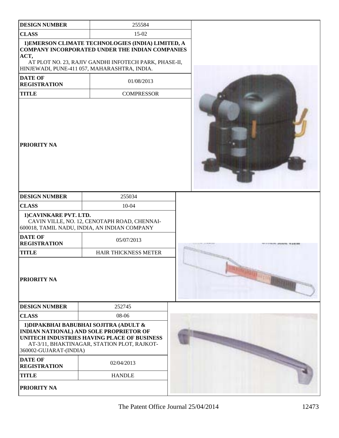| <b>DESIGN NUMBER</b>                  | 255584                                                                                                                                                                                                                |  |
|---------------------------------------|-----------------------------------------------------------------------------------------------------------------------------------------------------------------------------------------------------------------------|--|
| <b>CLASS</b>                          | 15-02                                                                                                                                                                                                                 |  |
| ACT,                                  | 1) EMERSON CLIMATE TECHNOLOGIES (INDIA) LIMITED, A<br><b>COMPANY INCORPORATED UNDER THE INDIAN COMPANIES</b><br>AT PLOT NO. 23, RAJIV GANDHI INFOTECH PARK, PHASE-II,<br>HINJEWADI, PUNE-411 057, MAHARASHTRA, INDIA. |  |
| <b>DATE OF</b><br><b>REGISTRATION</b> | 01/08/2013                                                                                                                                                                                                            |  |
| <b>TITLE</b>                          | <b>COMPRESSOR</b>                                                                                                                                                                                                     |  |
| <b>PRIORITY NA</b>                    |                                                                                                                                                                                                                       |  |
| <b>DESIGN NUMBER</b>                  | 255034                                                                                                                                                                                                                |  |
| <b>CLASS</b>                          | $10 - 04$                                                                                                                                                                                                             |  |
| 1)CAVINKARE PVT. LTD.                 | CAVIN VILLE, NO. 12, CENOTAPH ROAD, CHENNAI-<br>600018, TAMIL NADU, INDIA, AN INDIAN COMPANY                                                                                                                          |  |
| <b>DATE OF</b><br><b>REGISTRATION</b> | 05/07/2013                                                                                                                                                                                                            |  |
| <b>TITLE</b>                          | HAIR THICKNESS METER                                                                                                                                                                                                  |  |
| <b>PRIORITY NA</b>                    |                                                                                                                                                                                                                       |  |
| <b>DESIGN NUMBER</b>                  | 252745                                                                                                                                                                                                                |  |
| <b>CLASS</b>                          | 08-06                                                                                                                                                                                                                 |  |
| 360002-GUJARAT-(INDIA)                | 1) DIPAKBHAI BABUBHAI SOJITRA (ADULT &<br><b>INDIAN NATIONAL) AND SOLE PROPRIETOR OF</b><br>UNITECH INDUSTRIES HAVING PLACE OF BUSINESS<br>AT-3/11, BHAKTINAGAR, STATION PLOT, RAJKOT-                                |  |
| <b>DATE OF</b><br><b>REGISTRATION</b> | 02/04/2013                                                                                                                                                                                                            |  |
| <b>TITLE</b>                          | <b>HANDLE</b>                                                                                                                                                                                                         |  |
| PRIORITY NA                           |                                                                                                                                                                                                                       |  |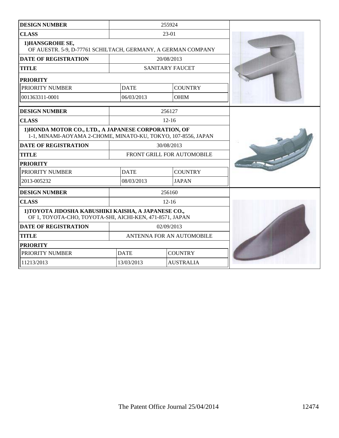| <b>DESIGN NUMBER</b>                                                                                                  |                               | 255924                 |  |
|-----------------------------------------------------------------------------------------------------------------------|-------------------------------|------------------------|--|
| <b>CLASS</b>                                                                                                          |                               | 23-01                  |  |
| 1) HANSGROHE SE,<br>OF AUESTR. 5-9, D-77761 SCHILTACH, GERMANY, A GERMAN COMPANY                                      |                               |                        |  |
| <b>DATE OF REGISTRATION</b>                                                                                           |                               | 20/08/2013             |  |
| <b>TITLE</b>                                                                                                          |                               | <b>SANITARY FAUCET</b> |  |
| <b>PRIORITY</b>                                                                                                       |                               |                        |  |
| PRIORITY NUMBER                                                                                                       | <b>DATE</b>                   | <b>COUNTRY</b>         |  |
| 001363311-0001                                                                                                        | 06/03/2013                    | <b>OHIM</b>            |  |
| <b>DESIGN NUMBER</b>                                                                                                  |                               | 256127                 |  |
| <b>CLASS</b>                                                                                                          |                               | $12 - 16$              |  |
| 1) HONDA MOTOR CO., LTD., A JAPANESE CORPORATION, OF<br>1-1, MINAMI-AOYAMA 2-CHOME, MINATO-KU, TOKYO, 107-8556, JAPAN |                               |                        |  |
| <b>DATE OF REGISTRATION</b>                                                                                           | 30/08/2013                    |                        |  |
| <b>TITLE</b>                                                                                                          | FRONT GRILL FOR AUTOMOBILE    |                        |  |
| <b>PRIORITY</b>                                                                                                       |                               |                        |  |
| PRIORITY NUMBER                                                                                                       | <b>DATE</b><br><b>COUNTRY</b> |                        |  |
| 2013-005232                                                                                                           | 08/03/2013<br><b>JAPAN</b>    |                        |  |
| <b>DESIGN NUMBER</b>                                                                                                  |                               | 256160                 |  |
| <b>CLASS</b>                                                                                                          |                               | $12 - 16$              |  |
| 1) TOYOTA JIDOSHA KABUSHIKI KAISHA, A JAPANESE CO.,<br>OF 1, TOYOTA-CHO, TOYOTA-SHI, AICHI-KEN, 471-8571, JAPAN       |                               |                        |  |
| <b>DATE OF REGISTRATION</b>                                                                                           | 02/09/2013                    |                        |  |
| <b>TITLE</b>                                                                                                          | ANTENNA FOR AN AUTOMOBILE     |                        |  |
| <b>PRIORITY</b>                                                                                                       |                               |                        |  |
| PRIORITY NUMBER                                                                                                       | <b>DATE</b>                   | <b>COUNTRY</b>         |  |
| 11213/2013                                                                                                            | 13/03/2013                    | <b>AUSTRALIA</b>       |  |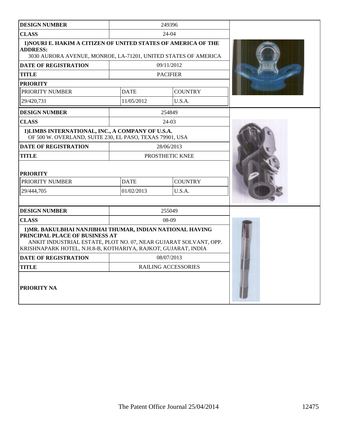| <b>DESIGN NUMBER</b>                                                                                                                                                                                                             |                      | 249396              |  |
|----------------------------------------------------------------------------------------------------------------------------------------------------------------------------------------------------------------------------------|----------------------|---------------------|--|
| <b>CLASS</b>                                                                                                                                                                                                                     |                      | 24-04               |  |
| 1) NOURI E. HAKIM A CITIZEN OF UNITED STATES OF AMERICA OF THE<br><b>ADDRESS:</b><br>3030 AURORA AVENUE, MONROE, LA-71201, UNITED STATES OF AMERICA                                                                              |                      |                     |  |
| <b>DATE OF REGISTRATION</b>                                                                                                                                                                                                      |                      | 09/11/2012          |  |
| <b>TITLE</b>                                                                                                                                                                                                                     |                      | <b>PACIFIER</b>     |  |
| <b>PRIORITY</b>                                                                                                                                                                                                                  |                      |                     |  |
| PRIORITY NUMBER                                                                                                                                                                                                                  | <b>DATE</b>          | <b>COUNTRY</b>      |  |
| 29/420.731                                                                                                                                                                                                                       | 11/05/2012           | U.S.A.              |  |
| <b>DESIGN NUMBER</b>                                                                                                                                                                                                             |                      | 254849              |  |
| <b>CLASS</b>                                                                                                                                                                                                                     |                      | $24-03$             |  |
| 1) LIMBS INTERNATIONAL, INC., A COMPANY OF U.S.A.<br>OF 500 W. OVERLAND, SUITE 230, EL PASO, TEXAS 79901, USA                                                                                                                    |                      |                     |  |
| <b>DATE OF REGISTRATION</b>                                                                                                                                                                                                      |                      | 28/06/2013          |  |
| <b>TITLE</b>                                                                                                                                                                                                                     |                      | PROSTHETIC KNEE     |  |
| <b>PRIORITY</b>                                                                                                                                                                                                                  |                      |                     |  |
| PRIORITY NUMBER                                                                                                                                                                                                                  | <b>DATE</b>          | <b>COUNTRY</b>      |  |
| 29/444,705                                                                                                                                                                                                                       | U.S.A.<br>01/02/2013 |                     |  |
|                                                                                                                                                                                                                                  |                      |                     |  |
| <b>DESIGN NUMBER</b>                                                                                                                                                                                                             |                      | 255049              |  |
| <b>CLASS</b>                                                                                                                                                                                                                     |                      | $08-09$             |  |
| 1) MR. BAKULBHAI NANJIBHAI THUMAR, INDIAN NATIONAL HAVING<br>PRINCIPAL PLACE OF BUSINESS AT<br>ANKIT INDUSTRIAL ESTATE, PLOT NO. 07, NEAR GUJARAT SOLVANT, OPP.<br>KRISHNAPARK HOTEL, N.H.8-B, KOTHARIYA, RAJKOT, GUJARAT, INDIA |                      |                     |  |
| <b>DATE OF REGISTRATION</b>                                                                                                                                                                                                      | 08/07/2013           |                     |  |
| <b>TITLE</b>                                                                                                                                                                                                                     |                      | RAILING ACCESSORIES |  |
| <b>PRIORITY NA</b>                                                                                                                                                                                                               |                      |                     |  |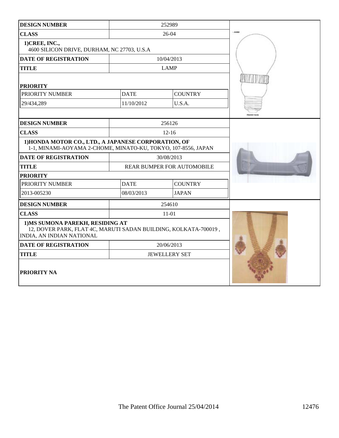| <b>DESIGN NUMBER</b>                                                                                                             |                            | 252989               |       |
|----------------------------------------------------------------------------------------------------------------------------------|----------------------------|----------------------|-------|
| <b>CLASS</b>                                                                                                                     |                            | 26-04                | 12090 |
| 1) CREE, INC.,<br>4600 SILICON DRIVE, DURHAM, NC 27703, U.S.A                                                                    |                            |                      |       |
| <b>DATE OF REGISTRATION</b>                                                                                                      |                            | 10/04/2013           |       |
| <b>TITLE</b>                                                                                                                     |                            | <b>LAMP</b>          |       |
| <b>PRIORITY</b>                                                                                                                  |                            |                      |       |
| PRIORITY NUMBER                                                                                                                  | <b>DATE</b>                | <b>COUNTRY</b>       |       |
| 29/434,289                                                                                                                       | 11/10/2012                 | U.S.A.               |       |
|                                                                                                                                  |                            |                      |       |
| <b>DESIGN NUMBER</b>                                                                                                             |                            | 256126               |       |
| <b>CLASS</b>                                                                                                                     |                            | $12 - 16$            |       |
| 1) HONDA MOTOR CO., LTD., A JAPANESE CORPORATION, OF<br>1-1, MINAMI-AOYAMA 2-CHOME, MINATO-KU, TOKYO, 107-8556, JAPAN            |                            |                      |       |
| <b>DATE OF REGISTRATION</b>                                                                                                      |                            | 30/08/2013           |       |
| <b>TITLE</b>                                                                                                                     | REAR BUMPER FOR AUTOMOBILE |                      |       |
| <b>PRIORITY</b>                                                                                                                  |                            |                      |       |
| PRIORITY NUMBER                                                                                                                  | <b>DATE</b>                | <b>COUNTRY</b>       |       |
| 2013-005230                                                                                                                      | 08/03/2013<br><b>JAPAN</b> |                      |       |
| <b>DESIGN NUMBER</b>                                                                                                             |                            | 254610               |       |
| <b>CLASS</b>                                                                                                                     |                            | $11 - 01$            |       |
| 1) MS SUMONA PAREKH, RESIDING AT<br>12, DOVER PARK, FLAT 4C, MARUTI SADAN BUILDING, KOLKATA-700019,<br>INDIA, AN INDIAN NATIONAL |                            |                      |       |
| <b>DATE OF REGISTRATION</b>                                                                                                      |                            | 20/06/2013           |       |
| <b>TITLE</b>                                                                                                                     |                            | <b>JEWELLERY SET</b> |       |
| PRIORITY NA                                                                                                                      |                            |                      |       |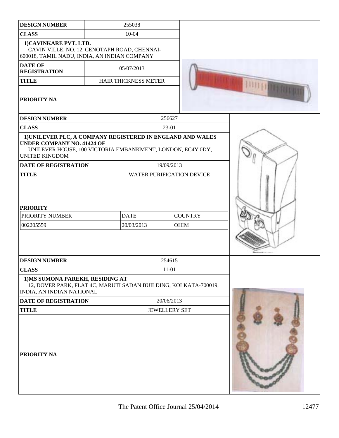| <b>DESIGN NUMBER</b>                                                                                                     | 255038                                                          |                                  |  |
|--------------------------------------------------------------------------------------------------------------------------|-----------------------------------------------------------------|----------------------------------|--|
| <b>CLASS</b>                                                                                                             | $10 - 04$                                                       |                                  |  |
| 1)CAVINKARE PVT. LTD.<br>CAVIN VILLE, NO. 12, CENOTAPH ROAD, CHENNAI-<br>600018, TAMIL NADU, INDIA, AN INDIAN COMPANY    |                                                                 |                                  |  |
| <b>DATE OF</b><br><b>REGISTRATION</b>                                                                                    | 05/07/2013                                                      |                                  |  |
| <b>TITLE</b>                                                                                                             | HAIR THICKNESS METER                                            |                                  |  |
| PRIORITY NA                                                                                                              |                                                                 |                                  |  |
| <b>DESIGN NUMBER</b>                                                                                                     |                                                                 | 256627                           |  |
| <b>CLASS</b>                                                                                                             |                                                                 | 23-01                            |  |
| 1) UNILEVER PLC, A COMPANY REGISTERED IN ENGLAND AND WALES<br><b>UNDER COMPANY NO. 41424 OF</b><br><b>UNITED KINGDOM</b> | UNILEVER HOUSE, 100 VICTORIA EMBANKMENT, LONDON, EC4Y 0DY,      |                                  |  |
| <b>DATE OF REGISTRATION</b>                                                                                              |                                                                 | 19/09/2013                       |  |
| <b>TITLE</b>                                                                                                             |                                                                 | <b>WATER PURIFICATION DEVICE</b> |  |
| PRIORITY NUMBER<br>002205559                                                                                             | <b>DATE</b><br>20/03/2013                                       | <b>COUNTRY</b><br>OHIM           |  |
| <b>DESIGN NUMBER</b>                                                                                                     |                                                                 | 254615                           |  |
| <b>CLASS</b>                                                                                                             |                                                                 | $11 - 01$                        |  |
| 1) MS SUMONA PAREKH, RESIDING AT<br>INDIA, AN INDIAN NATIONAL                                                            | 12, DOVER PARK, FLAT 4C, MARUTI SADAN BUILDING, KOLKATA-700019, |                                  |  |
| <b>DATE OF REGISTRATION</b>                                                                                              |                                                                 | 20/06/2013                       |  |
| <b>TITLE</b>                                                                                                             | <b>JEWELLERY SET</b>                                            |                                  |  |
| PRIORITY NA                                                                                                              |                                                                 |                                  |  |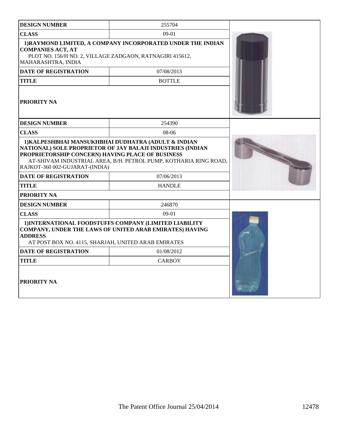| <b>DESIGN NUMBER</b>                                                               | 255704                                                                                                                                                                                |  |
|------------------------------------------------------------------------------------|---------------------------------------------------------------------------------------------------------------------------------------------------------------------------------------|--|
| <b>CLASS</b>                                                                       | 09-01                                                                                                                                                                                 |  |
| <b>COMPANIES ACT, AT</b><br>MAHARASHTRA, INDIA                                     | 1) RAYMOND LIMITED, A COMPANY INCORPORATED UNDER THE INDIAN<br>PLOT NO. 156/H NO. 2, VILLAGE ZADGAON, RATNAGIRI 415612,                                                               |  |
| <b>DATE OF REGISTRATION</b>                                                        | 07/08/2013                                                                                                                                                                            |  |
| <b>TITLE</b>                                                                       | <b>BOTTLE</b>                                                                                                                                                                         |  |
| <b>PRIORITY NA</b>                                                                 |                                                                                                                                                                                       |  |
| <b>DESIGN NUMBER</b>                                                               | 254390                                                                                                                                                                                |  |
| <b>CLASS</b>                                                                       | $08-06$                                                                                                                                                                               |  |
| PROPRIETORSHIP CONCERN) HAVING PLACE OF BUSINESS<br>RAJKOT-360 002-GUJARAT-(INDIA) | 1) KALPESHBHAI MANSUKHBHAI DUDHATRA (ADULT & INDIAN<br>NATIONAL) SOLE PROPRIETOR OF JAY BALAJI INDUSTRIES (INDIAN<br>AT-SHIVAM INDUSTRIAL AREA, B/H. PETROL PUMP, KOTHARIA RING ROAD, |  |
| <b>DATE OF REGISTRATION</b>                                                        | 07/06/2013                                                                                                                                                                            |  |
| <b>TITLE</b>                                                                       | <b>HANDLE</b>                                                                                                                                                                         |  |
| PRIORITY NA                                                                        |                                                                                                                                                                                       |  |
| <b>DESIGN NUMBER</b>                                                               | 246870                                                                                                                                                                                |  |
| <b>CLASS</b>                                                                       | $09-01$                                                                                                                                                                               |  |
| <b>ADDRESS</b><br>AT POST BOX NO. 4115, SHARJAH, UNITED ARAB EMIRATES              | 1) INTERNATIONAL FOODSTUFFS COMPANY (LIMITED LIABILITY<br>COMPANY, UNDER THE LAWS OF UNITED ARAB EMIRATES) HAVING                                                                     |  |
| <b>DATE OF REGISTRATION</b>                                                        | 01/08/2012                                                                                                                                                                            |  |
| TITLE                                                                              | <b>CARBOY</b>                                                                                                                                                                         |  |
| <b>PRIORITY NA</b>                                                                 |                                                                                                                                                                                       |  |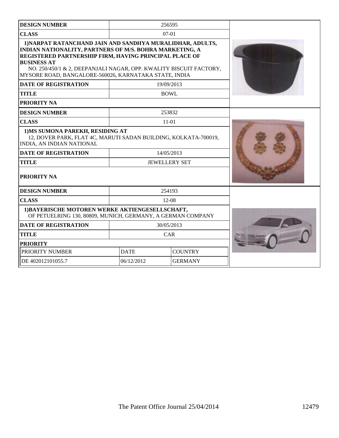| <b>DESIGN NUMBER</b>                                                                                                                                                                                                                                                                                                                |                               | 256595               |  |
|-------------------------------------------------------------------------------------------------------------------------------------------------------------------------------------------------------------------------------------------------------------------------------------------------------------------------------------|-------------------------------|----------------------|--|
| <b>CLASS</b>                                                                                                                                                                                                                                                                                                                        |                               | $07-01$              |  |
| 1) NARPAT RATANCHAND JAIN AND SANDHYA MURALIDHAR, ADULTS,<br>INDIAN NATIONALITY, PARTNERS OF M/S. BOHRA MARKETING, A<br>REGISTERED PARTNERSHIP FIRM, HAVING PRINCIPAL PLACE OF<br><b>BUSINESS AT</b><br>NO. 250/450/1 & 2, DEEPANJALI NAGAR, OPP. KWALITY BISCUIT FACTORY,<br>MYSORE ROAD, BANGALORE-560026, KARNATAKA STATE, INDIA |                               |                      |  |
| <b>DATE OF REGISTRATION</b>                                                                                                                                                                                                                                                                                                         |                               | 19/09/2013           |  |
| <b>TITLE</b>                                                                                                                                                                                                                                                                                                                        |                               | <b>BOWL</b>          |  |
| <b>PRIORITY NA</b>                                                                                                                                                                                                                                                                                                                  |                               |                      |  |
| <b>DESIGN NUMBER</b>                                                                                                                                                                                                                                                                                                                |                               | 253832               |  |
| <b>CLASS</b>                                                                                                                                                                                                                                                                                                                        |                               | $11 - 01$            |  |
| 1) MS SUMONA PAREKH, RESIDING AT<br>12, DOVER PARK, FLAT 4C, MARUTI SADAN BUILDING, KOLKATA-700019,<br>INDIA, AN INDIAN NATIONAL                                                                                                                                                                                                    |                               |                      |  |
| <b>DATE OF REGISTRATION</b>                                                                                                                                                                                                                                                                                                         |                               | 14/05/2013           |  |
| <b>TITLE</b>                                                                                                                                                                                                                                                                                                                        |                               | <b>JEWELLERY SET</b> |  |
| <b>PRIORITY NA</b>                                                                                                                                                                                                                                                                                                                  |                               |                      |  |
| <b>DESIGN NUMBER</b>                                                                                                                                                                                                                                                                                                                |                               | 254193               |  |
| <b>CLASS</b>                                                                                                                                                                                                                                                                                                                        |                               | $12 - 08$            |  |
| 1) BAYERISCHE MOTOREN WERKE AKTIENGESELLSCHAFT,<br>OF PETUELRING 130, 80809, MUNICH, GERMANY, A GERMAN COMPANY                                                                                                                                                                                                                      |                               |                      |  |
| <b>DATE OF REGISTRATION</b>                                                                                                                                                                                                                                                                                                         |                               | 30/05/2013           |  |
| <b>TITLE</b>                                                                                                                                                                                                                                                                                                                        |                               | CAR                  |  |
| <b>PRIORITY</b>                                                                                                                                                                                                                                                                                                                     |                               |                      |  |
| PRIORITY NUMBER                                                                                                                                                                                                                                                                                                                     | <b>COUNTRY</b><br><b>DATE</b> |                      |  |
| DE 402012101055.7                                                                                                                                                                                                                                                                                                                   | 06/12/2012<br><b>GERMANY</b>  |                      |  |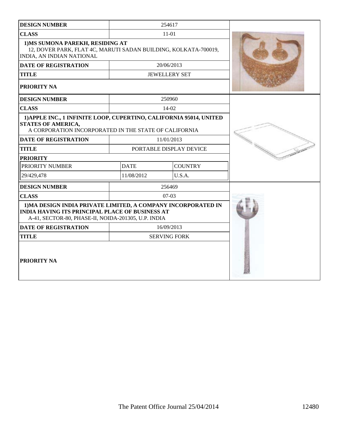| <b>DESIGN NUMBER</b>                                                                                                                                                           |             | 254617                  |  |
|--------------------------------------------------------------------------------------------------------------------------------------------------------------------------------|-------------|-------------------------|--|
| <b>CLASS</b>                                                                                                                                                                   |             | $11 - 01$               |  |
| 1) MS SUMONA PAREKH, RESIDING AT<br>12, DOVER PARK, FLAT 4C, MARUTI SADAN BUILDING, KOLKATA-700019,<br><b>INDIA, AN INDIAN NATIONAL</b>                                        |             |                         |  |
| <b>DATE OF REGISTRATION</b>                                                                                                                                                    |             | 20/06/2013              |  |
| <b>TITLE</b>                                                                                                                                                                   |             | <b>JEWELLERY SET</b>    |  |
| <b>PRIORITY NA</b>                                                                                                                                                             |             |                         |  |
| <b>DESIGN NUMBER</b>                                                                                                                                                           |             | 250960                  |  |
| <b>CLASS</b>                                                                                                                                                                   |             | 14-02                   |  |
| 1) APPLE INC., 1 INFINITE LOOP, CUPERTINO, CALIFORNIA 95014, UNITED<br><b>STATES OF AMERICA,</b><br>A CORPORATION INCORPORATED IN THE STATE OF CALIFORNIA                      |             |                         |  |
| <b>DATE OF REGISTRATION</b>                                                                                                                                                    |             | 11/01/2013              |  |
| <b>TITLE</b>                                                                                                                                                                   |             | PORTABLE DISPLAY DEVICE |  |
| <b>PRIORITY</b>                                                                                                                                                                |             |                         |  |
| PRIORITY NUMBER                                                                                                                                                                | <b>DATE</b> | <b>COUNTRY</b>          |  |
| 29/429,478                                                                                                                                                                     | 11/08/2012  | U.S.A.                  |  |
| <b>DESIGN NUMBER</b>                                                                                                                                                           |             | 256469                  |  |
| <b>CLASS</b>                                                                                                                                                                   |             | $07-03$                 |  |
| 1) MA DESIGN INDIA PRIVATE LIMITED, A COMPANY INCORPORATED IN<br><b>INDIA HAVING ITS PRINCIPAL PLACE OF BUSINESS AT</b><br>A-41, SECTOR-80, PHASE-II, NOIDA-201305, U.P. INDIA |             |                         |  |
| <b>DATE OF REGISTRATION</b>                                                                                                                                                    |             | 16/09/2013              |  |
| <b>TITLE</b>                                                                                                                                                                   |             | <b>SERVING FORK</b>     |  |
| <b>PRIORITY NA</b>                                                                                                                                                             |             |                         |  |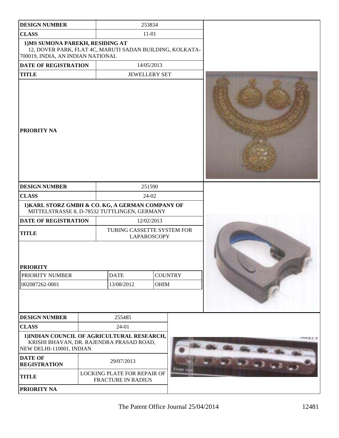| <b>DESIGN NUMBER</b>                                                                                                              |  |                                                          | 253834               |  |
|-----------------------------------------------------------------------------------------------------------------------------------|--|----------------------------------------------------------|----------------------|--|
| <b>CLASS</b>                                                                                                                      |  |                                                          | $11 - 01$            |  |
| 1) MS SUMONA PAREKH, RESIDING AT<br>12, DOVER PARK, FLAT 4C, MARUTI SADAN BUILDING, KOLKATA-<br>700019, INDIA, AN INDIAN NATIONAL |  |                                                          |                      |  |
| <b>DATE OF REGISTRATION</b>                                                                                                       |  |                                                          | 14/05/2013           |  |
| <b>TITLE</b>                                                                                                                      |  |                                                          | <b>JEWELLERY SET</b> |  |
| <b>PRIORITY NA</b>                                                                                                                |  |                                                          |                      |  |
| <b>DESIGN NUMBER</b>                                                                                                              |  |                                                          | 251590               |  |
| <b>CLASS</b>                                                                                                                      |  |                                                          | 24-02                |  |
| 1) KARL STORZ GMBH & CO. KG, A GERMAN COMPANY OF<br>MITTELSTRASSE 8, D-78532 TUTTLINGEN, GERMANY                                  |  |                                                          |                      |  |
| DATE OF REGISTRATION                                                                                                              |  |                                                          | 12/02/2013           |  |
| <b>TITLE</b>                                                                                                                      |  | TUBING CASSETTE SYSTEM FOR                               | LAPAROSCOPY          |  |
| <b>PRIORITY</b><br>PRIORITY NUMBER<br>002087262-0001                                                                              |  | <b>DATE</b><br><b>COUNTRY</b><br>13/08/2012<br>OHIM      |                      |  |
| <b>DESIGN NUMBER</b>                                                                                                              |  | 255485                                                   |                      |  |
| <b>CLASS</b>                                                                                                                      |  | 24-01                                                    |                      |  |
| 1) INDIAN COUNCIL OF AGRICULTURAL RESEARCH,<br>KRISHI BHAVAN, DR. RAJENDRA PRASAD ROAD,<br>NEW DELHI-110001, INDIAN               |  | <b>APRIL 21. 75</b>                                      |                      |  |
| <b>DATE OF</b><br><b>REGISTRATION</b>                                                                                             |  | 29/07/2013                                               |                      |  |
| <b>TITLE</b>                                                                                                                      |  | LOCKING PLATE FOR REPAIR OF<br><b>FRACTURE IN RADIUS</b> |                      |  |
| PRIORITY NA                                                                                                                       |  |                                                          |                      |  |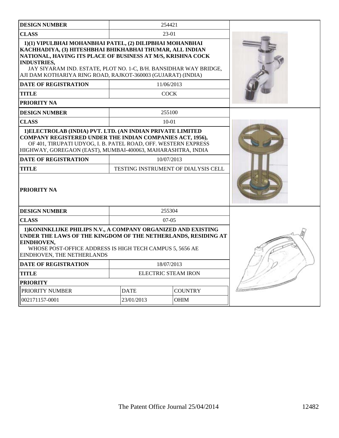| <b>DESIGN NUMBER</b>                                                                                                                                                                                                                                                                                                                           |                               | 254421                                            |  |
|------------------------------------------------------------------------------------------------------------------------------------------------------------------------------------------------------------------------------------------------------------------------------------------------------------------------------------------------|-------------------------------|---------------------------------------------------|--|
| <b>CLASS</b>                                                                                                                                                                                                                                                                                                                                   |                               | $23-01$                                           |  |
| 1)(1) VIPULBHAI MOHANBHAI PATEL, (2) DILIPBHAI MOHANBHAI<br>KACHHADIYA, (3) HITESHBHAI BHIKHABHAI THUMAR, ALL INDIAN<br>NATIONAL, HAVING ITS PLACE OF BUSINESS AT M/S, KRISHNA COCK<br><b>INDUSTRIES,</b><br>JAY SIYARAM IND. ESTATE, PLOT NO. 1-C, B/H. BANSIDHAR WAY BRIDGE,<br>AJI DAM KOTHARIYA RING ROAD, RAJKOT-360003 (GUJARAT) (INDIA) |                               |                                                   |  |
| <b>DATE OF REGISTRATION</b>                                                                                                                                                                                                                                                                                                                    |                               | 11/06/2013                                        |  |
| <b>TITLE</b>                                                                                                                                                                                                                                                                                                                                   |                               | <b>COCK</b>                                       |  |
| PRIORITY NA                                                                                                                                                                                                                                                                                                                                    |                               |                                                   |  |
| <b>DESIGN NUMBER</b>                                                                                                                                                                                                                                                                                                                           |                               | 255100                                            |  |
| <b>CLASS</b>                                                                                                                                                                                                                                                                                                                                   |                               | $10 - 01$                                         |  |
| 1) ELECTROLAB (INDIA) PVT. LTD. (AN INDIAN PRIVATE LIMITED<br>COMPANY REGISTERED UNDER THE INDIAN COMPANIES ACT, 1956),<br>OF 401, TIRUPATI UDYOG, I. B. PATEL ROAD, OFF. WESTERN EXPRESS<br>HIGHWAY, GOREGAON (EAST), MUMBAI-400063, MAHARASHTRA, INDIA                                                                                       |                               |                                                   |  |
| <b>DATE OF REGISTRATION</b><br><b>TITLE</b>                                                                                                                                                                                                                                                                                                    |                               | 10/07/2013<br>TESTING INSTRUMENT OF DIALYSIS CELL |  |
| <b>PRIORITY NA</b>                                                                                                                                                                                                                                                                                                                             |                               |                                                   |  |
| <b>DESIGN NUMBER</b>                                                                                                                                                                                                                                                                                                                           |                               | 255304                                            |  |
| <b>CLASS</b>                                                                                                                                                                                                                                                                                                                                   |                               | $07-05$                                           |  |
| 1) KONINKLIJKE PHILIPS N.V., A COMPANY ORGANIZED AND EXISTING<br>UNDER THE LAWS OF THE KINGDOM OF THE NETHERLANDS, RESIDING AT<br>EINDHOVEN,<br>WHOSE POST-OFFICE ADDRESS IS HIGH TECH CAMPUS 5, 5656 AE<br>EINDHOVEN, THE NETHERLANDS                                                                                                         |                               |                                                   |  |
| <b>DATE OF REGISTRATION</b>                                                                                                                                                                                                                                                                                                                    |                               | 18/07/2013                                        |  |
| <b>TITLE</b>                                                                                                                                                                                                                                                                                                                                   | <b>ELECTRIC STEAM IRON</b>    |                                                   |  |
| <b>PRIORITY</b>                                                                                                                                                                                                                                                                                                                                |                               |                                                   |  |
| PRIORITY NUMBER                                                                                                                                                                                                                                                                                                                                | <b>DATE</b><br><b>COUNTRY</b> |                                                   |  |
| 002171157-0001                                                                                                                                                                                                                                                                                                                                 | 23/01/2013                    | OHIM                                              |  |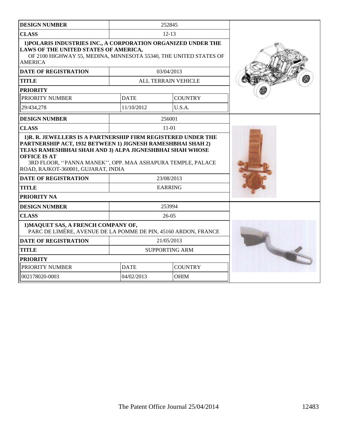| <b>DESIGN NUMBER</b>                                                                                                                                                                          |             | 252845                |  |
|-----------------------------------------------------------------------------------------------------------------------------------------------------------------------------------------------|-------------|-----------------------|--|
| <b>CLASS</b>                                                                                                                                                                                  |             | $12 - 13$             |  |
| 1) POLARIS INDUSTRIES INC., A CORPORATION ORGANIZED UNDER THE<br>LAWS OF THE UNITED STATES OF AMERICA,<br>OF 2100 HIGHWAY 55, MEDINA, MINNESOTA 55340, THE UNITED STATES OF<br><b>AMERICA</b> |             |                       |  |
| <b>DATE OF REGISTRATION</b>                                                                                                                                                                   |             | 03/04/2013            |  |
| <b>TITLE</b>                                                                                                                                                                                  |             | ALL TERRAIN VEHICLE   |  |
| <b>PRIORITY</b>                                                                                                                                                                               |             |                       |  |
| PRIORITY NUMBER                                                                                                                                                                               | <b>DATE</b> | <b>COUNTRY</b>        |  |
| 29/434,278                                                                                                                                                                                    | 11/10/2012  | U.S.A.                |  |
| <b>DESIGN NUMBER</b>                                                                                                                                                                          |             | 256001                |  |
| <b>CLASS</b>                                                                                                                                                                                  |             | $11-01$               |  |
| TEJAS RAMESHBHAI SHAH AND 3) ALPA JIGNESHBHAI SHAH WHOSE<br><b>OFFICE IS AT</b><br>3RD FLOOR, "PANNA MANEK", OPP. MAA ASHAPURA TEMPLE, PALACE<br>ROAD, RAJKOT-360001, GUJARAT, INDIA          |             |                       |  |
| <b>DATE OF REGISTRATION</b>                                                                                                                                                                   |             | 23/08/2013            |  |
| <b>TITLE</b>                                                                                                                                                                                  |             | <b>EARRING</b>        |  |
| PRIORITY NA                                                                                                                                                                                   |             |                       |  |
| <b>DESIGN NUMBER</b>                                                                                                                                                                          |             | 253994<br>$26-05$     |  |
| <b>CLASS</b><br>1) MAQUET SAS, A FRENCH COMPANY OF,<br>PARC DE LIMÉRE, AVENUE DE LA POMME DE PIN, 45160 ARDON, FRANCE                                                                         |             |                       |  |
| <b>DATE OF REGISTRATION</b>                                                                                                                                                                   |             | 21/05/2013            |  |
| <b>TITLE</b>                                                                                                                                                                                  |             | <b>SUPPORTING ARM</b> |  |
| <b>PRIORITY</b>                                                                                                                                                                               |             |                       |  |
| PRIORITY NUMBER                                                                                                                                                                               | <b>DATE</b> | <b>COUNTRY</b>        |  |
| 002178020-0003                                                                                                                                                                                | 04/02/2013  | OHIM                  |  |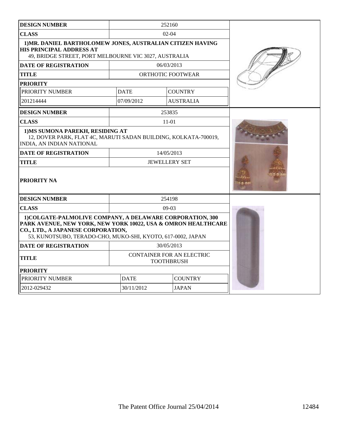| <b>DESIGN NUMBER</b>                                                                                                                                                                                                            | 252160                                                |                   |                  |  |
|---------------------------------------------------------------------------------------------------------------------------------------------------------------------------------------------------------------------------------|-------------------------------------------------------|-------------------|------------------|--|
| <b>CLASS</b>                                                                                                                                                                                                                    | $02 - 04$                                             |                   |                  |  |
| 1) MR. DANIEL BARTHOLOMEW JONES, AUSTRALIAN CITIZEN HAVING<br>HIS PRINCIPAL ADDRESS AT<br>49, BRIDGE STREET, PORT MELBOURNE VIC 3027, AUSTRALIA                                                                                 |                                                       |                   |                  |  |
| <b>DATE OF REGISTRATION</b>                                                                                                                                                                                                     |                                                       | 06/03/2013        |                  |  |
| TITLE                                                                                                                                                                                                                           |                                                       | ORTHOTIC FOOTWEAR |                  |  |
| <b>PRIORITY</b>                                                                                                                                                                                                                 |                                                       |                   |                  |  |
| PRIORITY NUMBER                                                                                                                                                                                                                 | <b>DATE</b>                                           |                   | <b>COUNTRY</b>   |  |
| 201214444                                                                                                                                                                                                                       | 07/09/2012                                            |                   | <b>AUSTRALIA</b> |  |
| <b>DESIGN NUMBER</b>                                                                                                                                                                                                            |                                                       | 253835            |                  |  |
| <b>CLASS</b>                                                                                                                                                                                                                    |                                                       | $11 - 01$         |                  |  |
| 1) MS SUMONA PAREKH, RESIDING AT<br>12, DOVER PARK, FLAT 4C, MARUTI SADAN BUILDING, KOLKATA-700019,<br>INDIA, AN INDIAN NATIONAL                                                                                                |                                                       |                   |                  |  |
| <b>DATE OF REGISTRATION</b><br><b>TITLE</b>                                                                                                                                                                                     | 14/05/2013<br><b>JEWELLERY SET</b>                    |                   |                  |  |
| PRIORITY NA                                                                                                                                                                                                                     |                                                       |                   |                  |  |
| <b>DESIGN NUMBER</b>                                                                                                                                                                                                            | 254198                                                |                   |                  |  |
| <b>CLASS</b>                                                                                                                                                                                                                    | $09-03$                                               |                   |                  |  |
| 1) COLGATE-PALMOLIVE COMPANY, A DELAWARE CORPORATION, 300<br>PARK AVENUE, NEW YORK, NEW YORK 10022, USA & OMRON HEALTHCARE<br>CO., LTD., A JAPANESE CORPORATION,<br>53, KUNOTSUBO, TERADO-CHO, MUKO-SHI, KYOTO, 617-0002, JAPAN |                                                       |                   |                  |  |
| <b>DATE OF REGISTRATION</b>                                                                                                                                                                                                     | 30/05/2013                                            |                   |                  |  |
| <b>TITLE</b>                                                                                                                                                                                                                    | <b>CONTAINER FOR AN ELECTRIC</b><br><b>TOOTHBRUSH</b> |                   |                  |  |
| <b>PRIORITY</b>                                                                                                                                                                                                                 |                                                       |                   |                  |  |
| PRIORITY NUMBER                                                                                                                                                                                                                 | <b>DATE</b><br><b>COUNTRY</b>                         |                   |                  |  |
| 2012-029432                                                                                                                                                                                                                     | 30/11/2012<br><b>JAPAN</b>                            |                   |                  |  |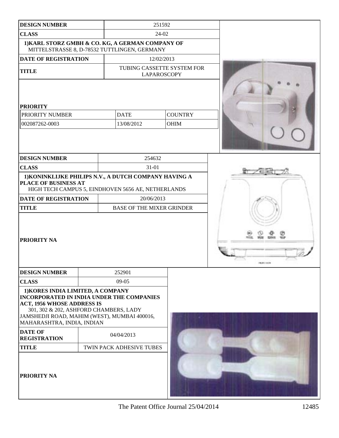| <b>DESIGN NUMBER</b>                                                                                                                                                                           |                                                                                                             | 251592                                           |                    |
|------------------------------------------------------------------------------------------------------------------------------------------------------------------------------------------------|-------------------------------------------------------------------------------------------------------------|--------------------------------------------------|--------------------|
| <b>CLASS</b>                                                                                                                                                                                   |                                                                                                             | 24-02                                            |                    |
|                                                                                                                                                                                                | 1) KARL STORZ GMBH & CO. KG, A GERMAN COMPANY OF<br>MITTELSTRASSE 8, D-78532 TUTTLINGEN, GERMANY            |                                                  |                    |
| DATE OF REGISTRATION                                                                                                                                                                           |                                                                                                             | 12/02/2013                                       |                    |
| <b>TITLE</b>                                                                                                                                                                                   |                                                                                                             | TUBING CASSETTE SYSTEM FOR<br><b>LAPAROSCOPY</b> |                    |
| <b>PRIORITY</b>                                                                                                                                                                                |                                                                                                             |                                                  |                    |
| PRIORITY NUMBER                                                                                                                                                                                | <b>DATE</b>                                                                                                 | <b>COUNTRY</b>                                   |                    |
| 002087262-0003                                                                                                                                                                                 | 13/08/2012                                                                                                  | <b>OHIM</b>                                      |                    |
|                                                                                                                                                                                                |                                                                                                             |                                                  |                    |
| <b>DESIGN NUMBER</b>                                                                                                                                                                           | 254632                                                                                                      |                                                  |                    |
| <b>CLASS</b>                                                                                                                                                                                   | 31-01                                                                                                       |                                                  |                    |
| PLACE OF BUSINESS AT                                                                                                                                                                           | 1) KONINKLIJKE PHILIPS N.V., A DUTCH COMPANY HAVING A<br>HIGH TECH CAMPUS 5, EINDHOVEN 5656 AE, NETHERLANDS |                                                  |                    |
| <b>DATE OF REGISTRATION</b>                                                                                                                                                                    | 20/06/2013                                                                                                  |                                                  |                    |
| <b>TITLE</b>                                                                                                                                                                                   | <b>BASE OF THE MIXER GRINDER</b>                                                                            |                                                  |                    |
| PRIORITY NA                                                                                                                                                                                    |                                                                                                             |                                                  | <b>THEM I HAVE</b> |
| <b>DESIGN NUMBER</b>                                                                                                                                                                           | 252901                                                                                                      |                                                  |                    |
| <b>CLASS</b>                                                                                                                                                                                   | $09-05$                                                                                                     |                                                  |                    |
| 1) KORES INDIA LIMITED, A COMPANY<br><b>ACT, 1956 WHOSE ADDRESS IS</b><br>301, 302 & 202, ASHFORD CHAMBERS, LADY<br>JAMSHEDJI ROAD, MAHIM (WEST), MUMBAI 400016,<br>MAHARASHTRA, INDIA, INDIAN | <b>INCORPORATED IN INDIA UNDER THE COMPANIES</b>                                                            |                                                  |                    |
| <b>DATE OF</b><br><b>REGISTRATION</b>                                                                                                                                                          | 04/04/2013                                                                                                  |                                                  |                    |
| <b>TITLE</b>                                                                                                                                                                                   | TWIN PACK ADHESIVE TUBES                                                                                    |                                                  |                    |
| PRIORITY NA                                                                                                                                                                                    |                                                                                                             |                                                  |                    |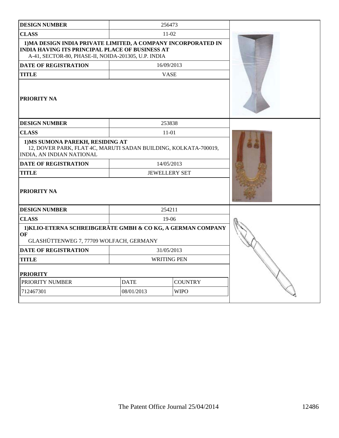| <b>DESIGN NUMBER</b>                                                                                                                                                           |             | 256473               |  |
|--------------------------------------------------------------------------------------------------------------------------------------------------------------------------------|-------------|----------------------|--|
| <b>CLASS</b>                                                                                                                                                                   |             | $11-02$              |  |
| 1) MA DESIGN INDIA PRIVATE LIMITED, A COMPANY INCORPORATED IN<br><b>INDIA HAVING ITS PRINCIPAL PLACE OF BUSINESS AT</b><br>A-41, SECTOR-80, PHASE-II, NOIDA-201305, U.P. INDIA |             |                      |  |
| <b>DATE OF REGISTRATION</b>                                                                                                                                                    |             | 16/09/2013           |  |
| <b>TITLE</b>                                                                                                                                                                   |             | <b>VASE</b>          |  |
| PRIORITY NA                                                                                                                                                                    |             |                      |  |
| <b>DESIGN NUMBER</b>                                                                                                                                                           |             | 253838               |  |
| <b>CLASS</b>                                                                                                                                                                   |             | $11-01$              |  |
| 1) MS SUMONA PAREKH, RESIDING AT<br>12, DOVER PARK, FLAT 4C, MARUTI SADAN BUILDING, KOLKATA-700019,<br>INDIA, AN INDIAN NATIONAL                                               |             |                      |  |
| <b>DATE OF REGISTRATION</b>                                                                                                                                                    |             | 14/05/2013           |  |
| <b>TITLE</b>                                                                                                                                                                   |             | <b>JEWELLERY SET</b> |  |
| PRIORITY NA                                                                                                                                                                    |             |                      |  |
| <b>DESIGN NUMBER</b>                                                                                                                                                           |             | 254211               |  |
| <b>CLASS</b>                                                                                                                                                                   |             | $19-06$              |  |
| 1) KLIO-ETERNA SCHREIBGERÄTE GMBH & CO KG, A GERMAN COMPANY<br><b>OF</b><br>GLASHÜTTENWEG 7, 77709 WOLFACH, GERMANY                                                            |             |                      |  |
| <b>DATE OF REGISTRATION</b>                                                                                                                                                    |             | 31/05/2013           |  |
| <b>TITLE</b>                                                                                                                                                                   |             | <b>WRITING PEN</b>   |  |
| <b>PRIORITY</b>                                                                                                                                                                |             |                      |  |
| PRIORITY NUMBER                                                                                                                                                                | <b>DATE</b> | <b>COUNTRY</b>       |  |
| 712467301                                                                                                                                                                      | 08/01/2013  | <b>WIPO</b>          |  |
|                                                                                                                                                                                |             |                      |  |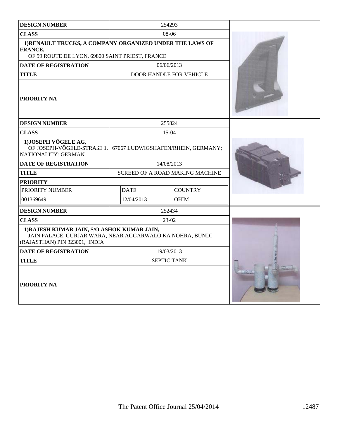| <b>DESIGN NUMBER</b>                                                                                                                     |             | 254293                          |  |
|------------------------------------------------------------------------------------------------------------------------------------------|-------------|---------------------------------|--|
| <b>CLASS</b>                                                                                                                             |             | 08-06                           |  |
| 1) RENAULT TRUCKS, A COMPANY ORGANIZED UNDER THE LAWS OF<br>FRANCE,<br>OF 99 ROUTE DE LYON, 69800 SAINT PRIEST, FRANCE                   |             |                                 |  |
| <b>DATE OF REGISTRATION</b>                                                                                                              |             | 06/06/2013                      |  |
| <b>TITLE</b>                                                                                                                             |             | <b>DOOR HANDLE FOR VEHICLE</b>  |  |
| <b>PRIORITY NA</b>                                                                                                                       |             |                                 |  |
| <b>DESIGN NUMBER</b>                                                                                                                     |             | 255824                          |  |
| <b>CLASS</b>                                                                                                                             |             | 15-04                           |  |
| 1) JOSEPH VÖGELE AG,<br>OF JOSEPH-VÖGELE-STRAßE 1, 67067 LUDWIGSHAFEN/RHEIN, GERMANY;<br>NATIONALITY: GERMAN                             |             |                                 |  |
| <b>DATE OF REGISTRATION</b>                                                                                                              |             | 14/08/2013                      |  |
| <b>TITLE</b>                                                                                                                             |             | SCREED OF A ROAD MAKING MACHINE |  |
| <b>PRIORITY</b>                                                                                                                          |             |                                 |  |
| PRIORITY NUMBER                                                                                                                          | <b>DATE</b> | <b>COUNTRY</b>                  |  |
| 001369649                                                                                                                                | 12/04/2013  | <b>OHIM</b>                     |  |
| <b>DESIGN NUMBER</b>                                                                                                                     |             | 252434                          |  |
| <b>CLASS</b>                                                                                                                             |             | 23-02                           |  |
| 1) RAJESH KUMAR JAIN, S/O ASHOK KUMAR JAIN,<br>JAIN PALACE, GURJAR WARA, NEAR AGGARWALO KA NOHRA, BUNDI<br>(RAJASTHAN) PIN 323001, INDIA |             |                                 |  |
| <b>DATE OF REGISTRATION</b>                                                                                                              |             | 19/03/2013                      |  |
| <b>TITLE</b>                                                                                                                             |             | <b>SEPTIC TANK</b>              |  |
| <b>PRIORITY NA</b>                                                                                                                       |             |                                 |  |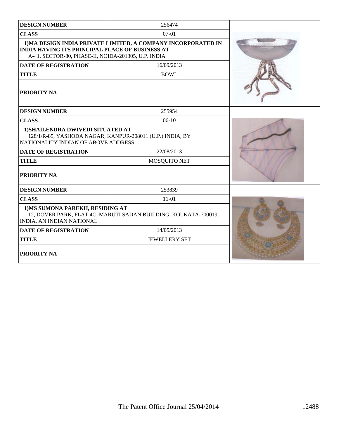| <b>DESIGN NUMBER</b>                                                                                                                                                           | 256474               |  |
|--------------------------------------------------------------------------------------------------------------------------------------------------------------------------------|----------------------|--|
| <b>CLASS</b>                                                                                                                                                                   | $07-01$              |  |
| 1) MA DESIGN INDIA PRIVATE LIMITED, A COMPANY INCORPORATED IN<br><b>INDIA HAVING ITS PRINCIPAL PLACE OF BUSINESS AT</b><br>A-41, SECTOR-80, PHASE-II, NOIDA-201305, U.P. INDIA |                      |  |
| <b>DATE OF REGISTRATION</b>                                                                                                                                                    | 16/09/2013           |  |
| <b>TITLE</b>                                                                                                                                                                   | <b>BOWL</b>          |  |
| PRIORITY NA                                                                                                                                                                    |                      |  |
| <b>DESIGN NUMBER</b>                                                                                                                                                           | 255954               |  |
| <b>CLASS</b>                                                                                                                                                                   | $06-10$              |  |
| 1) SHAILENDRA DWIVEDI SITUATED AT<br>128/1/R-85, YASHODA NAGAR, KANPUR-208011 (U.P.) INDIA, BY<br>NATIONALITY INDIAN OF ABOVE ADDRESS                                          |                      |  |
| <b>DATE OF REGISTRATION</b>                                                                                                                                                    | 22/08/2013           |  |
| <b>TITLE</b>                                                                                                                                                                   | MOSQUITO NET         |  |
| PRIORITY NA                                                                                                                                                                    |                      |  |
| <b>DESIGN NUMBER</b>                                                                                                                                                           | 253839               |  |
| <b>CLASS</b>                                                                                                                                                                   | $11 - 01$            |  |
| 1) MS SUMONA PAREKH, RESIDING AT<br>12, DOVER PARK, FLAT 4C, MARUTI SADAN BUILDING, KOLKATA-700019,<br>INDIA, AN INDIAN NATIONAL                                               |                      |  |
| <b>DATE OF REGISTRATION</b>                                                                                                                                                    |                      |  |
| <b>TITLE</b>                                                                                                                                                                   | <b>JEWELLERY SET</b> |  |
| PRIORITY NA                                                                                                                                                                    |                      |  |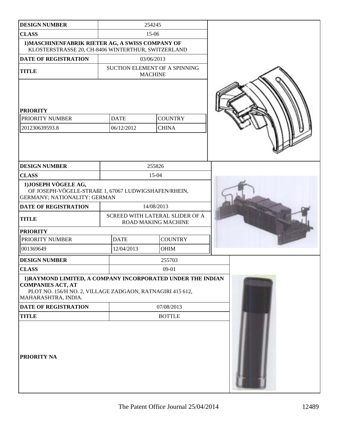| <b>DESIGN NUMBER</b>                                                                                                                                                        |                           | 254245                                                 |  |
|-----------------------------------------------------------------------------------------------------------------------------------------------------------------------------|---------------------------|--------------------------------------------------------|--|
| <b>CLASS</b>                                                                                                                                                                |                           | $15-06$                                                |  |
| 1) MASCHINENFABRIK RIETER AG, A SWISS COMPANY OF<br>KLOSTERSTRASSE 20, CH-8406 WINTERTHUR, SWITZERLAND                                                                      |                           |                                                        |  |
| <b>DATE OF REGISTRATION</b>                                                                                                                                                 |                           | 03/06/2013                                             |  |
| <b>TITLE</b>                                                                                                                                                                |                           | SUCTION ELEMENT OF A SPINNING<br><b>MACHINE</b>        |  |
| <b>PRIORITY</b><br>PRIORITY NUMBER<br>201230639593.8                                                                                                                        | <b>DATE</b><br>06/12/2012 | <b>COUNTRY</b><br><b>CHINA</b>                         |  |
| <b>DESIGN NUMBER</b>                                                                                                                                                        |                           | 255826                                                 |  |
| <b>CLASS</b>                                                                                                                                                                |                           | 15-04                                                  |  |
| 1) JOSEPH VÖGELE AG,<br>OF JOSEPH-VÖGELE-STRAßE 1, 67067 LUDWIGSHAFEN/RHEIN,<br>GERMANY; NATIONALITY: GERMAN                                                                |                           |                                                        |  |
| <b>DATE OF REGISTRATION</b>                                                                                                                                                 |                           | 14/08/2013                                             |  |
| <b>TITLE</b>                                                                                                                                                                |                           | SCREED WITH LATERAL SLIDER OF A<br>ROAD MAKING MACHINE |  |
| <b>PRIORITY</b>                                                                                                                                                             |                           |                                                        |  |
| PRIORITY NUMBER                                                                                                                                                             | <b>DATE</b>               | <b>COUNTRY</b>                                         |  |
| 001369649                                                                                                                                                                   | 12/04/2013                | <b>OHIM</b>                                            |  |
| <b>DESIGN NUMBER</b>                                                                                                                                                        |                           | 255703                                                 |  |
| <b>CLASS</b>                                                                                                                                                                |                           | $09-01$                                                |  |
| 1) RAYMOND LIMITED, A COMPANY INCORPORATED UNDER THE INDIAN<br><b>COMPANIES ACT, AT</b><br>PLOT NO. 156/H NO. 2, VILLAGE ZADGAON, RATNAGIRI 415 612,<br>MAHARASHTRA, INDIA. |                           |                                                        |  |
| DATE OF REGISTRATION                                                                                                                                                        |                           | 07/08/2013                                             |  |
| <b>TITLE</b>                                                                                                                                                                |                           | <b>BOTTLE</b>                                          |  |
| PRIORITY NA                                                                                                                                                                 |                           |                                                        |  |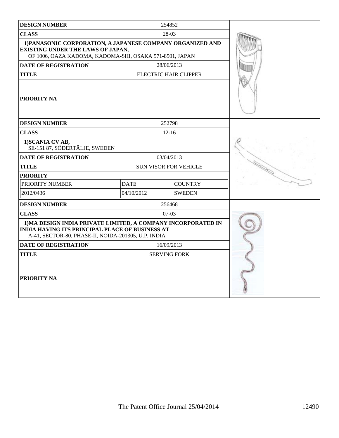| <b>DESIGN NUMBER</b>                                                                                                                                                           |                              | 254852                       |  |
|--------------------------------------------------------------------------------------------------------------------------------------------------------------------------------|------------------------------|------------------------------|--|
| <b>CLASS</b>                                                                                                                                                                   | 28-03                        |                              |  |
| 1) PANASONIC CORPORATION, A JAPANESE COMPANY ORGANIZED AND<br><b>EXISTING UNDER THE LAWS OF JAPAN,</b><br>OF 1006, OAZA KADOMA, KADOMA-SHI, OSAKA 571-8501, JAPAN              |                              |                              |  |
| <b>DATE OF REGISTRATION</b>                                                                                                                                                    |                              | 28/06/2013                   |  |
| <b>TITLE</b>                                                                                                                                                                   |                              | <b>ELECTRIC HAIR CLIPPER</b> |  |
| PRIORITY NA                                                                                                                                                                    |                              |                              |  |
| <b>DESIGN NUMBER</b>                                                                                                                                                           |                              | 252798                       |  |
| <b>CLASS</b>                                                                                                                                                                   |                              | $12 - 16$                    |  |
| 1) SCANIA CV AB,<br>SE-151 87, SÖDERTÄLJE, SWEDEN                                                                                                                              |                              |                              |  |
| <b>DATE OF REGISTRATION</b>                                                                                                                                                    | 03/04/2013                   |                              |  |
| <b>TITLE</b>                                                                                                                                                                   | <b>SUN VISOR FOR VEHICLE</b> |                              |  |
| <b>PRIORITY</b>                                                                                                                                                                |                              |                              |  |
| PRIORITY NUMBER                                                                                                                                                                | <b>DATE</b>                  | <b>COUNTRY</b>               |  |
| 2012/0436                                                                                                                                                                      | 04/10/2012                   | <b>SWEDEN</b>                |  |
| <b>DESIGN NUMBER</b>                                                                                                                                                           |                              | 256468                       |  |
| <b>CLASS</b>                                                                                                                                                                   |                              | $07-03$                      |  |
| 1) MA DESIGN INDIA PRIVATE LIMITED, A COMPANY INCORPORATED IN<br><b>INDIA HAVING ITS PRINCIPAL PLACE OF BUSINESS AT</b><br>A-41, SECTOR-80, PHASE-II, NOIDA-201305, U.P. INDIA |                              |                              |  |
| <b>DATE OF REGISTRATION</b>                                                                                                                                                    |                              | 16/09/2013                   |  |
| <b>TITLE</b>                                                                                                                                                                   |                              | <b>SERVING FORK</b>          |  |
| PRIORITY NA                                                                                                                                                                    |                              |                              |  |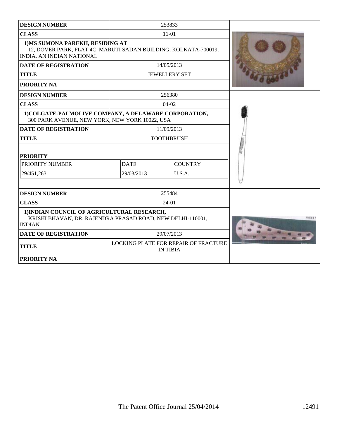| <b>DESIGN NUMBER</b>                                                                                                                    |             | 253833                                                         |  |
|-----------------------------------------------------------------------------------------------------------------------------------------|-------------|----------------------------------------------------------------|--|
| <b>CLASS</b>                                                                                                                            |             | $11 - 01$                                                      |  |
| 1) MS SUMONA PAREKH, RESIDING AT<br>12, DOVER PARK, FLAT 4C, MARUTI SADAN BUILDING, KOLKATA-700019,<br><b>INDIA, AN INDIAN NATIONAL</b> |             |                                                                |  |
| <b>DATE OF REGISTRATION</b>                                                                                                             |             | 14/05/2013                                                     |  |
| <b>TITLE</b>                                                                                                                            |             | <b>JEWELLERY SET</b>                                           |  |
| <b>PRIORITY NA</b>                                                                                                                      |             |                                                                |  |
| <b>DESIGN NUMBER</b>                                                                                                                    |             | 256380                                                         |  |
| <b>CLASS</b>                                                                                                                            |             | $04-02$                                                        |  |
| 1) COLGATE-PALMOLIVE COMPANY, A DELAWARE CORPORATION,<br>300 PARK AVENUE, NEW YORK, NEW YORK 10022, USA                                 |             |                                                                |  |
| <b>DATE OF REGISTRATION</b>                                                                                                             |             | 11/09/2013                                                     |  |
| <b>TITLE</b>                                                                                                                            |             | <b>TOOTHBRUSH</b>                                              |  |
| <b>PRIORITY</b>                                                                                                                         |             |                                                                |  |
| PRIORITY NUMBER                                                                                                                         | <b>DATE</b> | <b>COUNTRY</b>                                                 |  |
| 29/451,263                                                                                                                              | 29/03/2013  | U.S.A.                                                         |  |
|                                                                                                                                         |             |                                                                |  |
| <b>DESIGN NUMBER</b>                                                                                                                    |             | 255484                                                         |  |
| <b>CLASS</b>                                                                                                                            |             | 24-01                                                          |  |
| 1) INDIAN COUNCIL OF AGRICULTURAL RESEARCH,<br>KRISHI BHAVAN, DR. RAJENDRA PRASAD ROAD, NEW DELHI-110001,<br><b>INDIAN</b>              |             |                                                                |  |
| <b>DATE OF REGISTRATION</b>                                                                                                             |             | 29/07/2013                                                     |  |
| <b>TITLE</b>                                                                                                                            |             | <b>LOCKING PLATE FOR REPAIR OF FRACTURE</b><br><b>IN TIBIA</b> |  |
| <b>PRIORITY NA</b>                                                                                                                      |             |                                                                |  |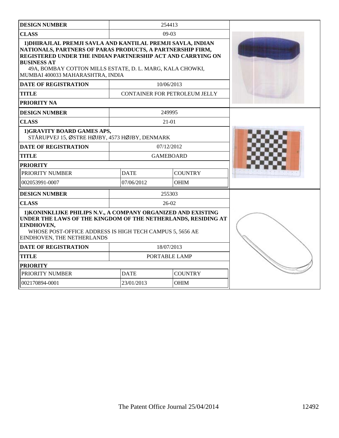| <b>DESIGN NUMBER</b>                                                                                                                                                                                                                                                                                            |                  | 254413                        |  |
|-----------------------------------------------------------------------------------------------------------------------------------------------------------------------------------------------------------------------------------------------------------------------------------------------------------------|------------------|-------------------------------|--|
| <b>CLASS</b>                                                                                                                                                                                                                                                                                                    |                  | $09-03$                       |  |
| 1) DHIRAJLAL PREMJI SAVLA AND KANTILAL PREMJI SAVLA, INDIAN<br>NATIONALS, PARTNERS OF PARAS PRODUCTS, A PARTNERSHIP FIRM,<br>REGISTERED UNDER THE INDIAN PARTNERSHIP ACT AND CARRYING ON<br><b>BUSINESS AT</b><br>49A, BOMBAY COTTON MILLS ESTATE, D. L. MARG, KALA CHOWKI,<br>MUMBAI 400033 MAHARASHTRA, INDIA |                  |                               |  |
| <b>DATE OF REGISTRATION</b>                                                                                                                                                                                                                                                                                     |                  | 10/06/2013                    |  |
| TITLE                                                                                                                                                                                                                                                                                                           |                  | CONTAINER FOR PETROLEUM JELLY |  |
| PRIORITY NA                                                                                                                                                                                                                                                                                                     |                  |                               |  |
| <b>DESIGN NUMBER</b>                                                                                                                                                                                                                                                                                            |                  | 249995                        |  |
| <b>CLASS</b>                                                                                                                                                                                                                                                                                                    |                  | $21 - 01$                     |  |
| 1)GRAVITY BOARD GAMES APS,<br>STÅRUPVEJ 15, ØSTRE HØJBY, 4573 HØJBY, DENMARK                                                                                                                                                                                                                                    |                  |                               |  |
| <b>DATE OF REGISTRATION</b>                                                                                                                                                                                                                                                                                     |                  | 07/12/2012                    |  |
| <b>TITLE</b>                                                                                                                                                                                                                                                                                                    | <b>GAMEBOARD</b> |                               |  |
| <b>PRIORITY</b>                                                                                                                                                                                                                                                                                                 |                  |                               |  |
| PRIORITY NUMBER                                                                                                                                                                                                                                                                                                 | <b>DATE</b>      | <b>COUNTRY</b>                |  |
| 002053991-0007                                                                                                                                                                                                                                                                                                  | 07/06/2012       | <b>OHIM</b>                   |  |
| <b>DESIGN NUMBER</b>                                                                                                                                                                                                                                                                                            |                  | 255303                        |  |
| <b>CLASS</b>                                                                                                                                                                                                                                                                                                    |                  | $26-02$                       |  |
| 1) KONINKLIJKE PHILIPS N.V., A COMPANY ORGANIZED AND EXISTING<br>UNDER THE LAWS OF THE KINGDOM OF THE NETHERLANDS, RESIDING AT<br>EINDHOVEN,<br>WHOSE POST-OFFICE ADDRESS IS HIGH TECH CAMPUS 5, 5656 AE<br>EINDHOVEN, THE NETHERLANDS                                                                          |                  |                               |  |
| <b>DATE OF REGISTRATION</b>                                                                                                                                                                                                                                                                                     | 18/07/2013       |                               |  |
| <b>TITLE</b>                                                                                                                                                                                                                                                                                                    | PORTABLE LAMP    |                               |  |
| <b>PRIORITY</b>                                                                                                                                                                                                                                                                                                 |                  |                               |  |
| PRIORITY NUMBER                                                                                                                                                                                                                                                                                                 | <b>DATE</b>      | <b>COUNTRY</b>                |  |
| 002170894-0001                                                                                                                                                                                                                                                                                                  | 23/01/2013       | <b>OHIM</b>                   |  |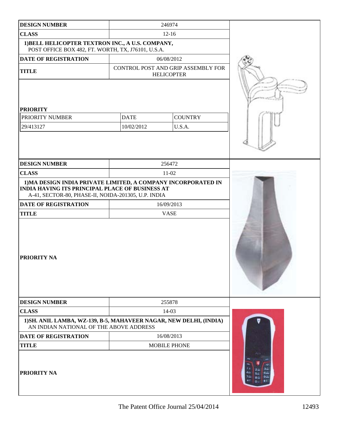| <b>DESIGN NUMBER</b>                                                                                                                                                           |             | 246974                                                  |  |
|--------------------------------------------------------------------------------------------------------------------------------------------------------------------------------|-------------|---------------------------------------------------------|--|
| <b>CLASS</b>                                                                                                                                                                   | $12 - 16$   |                                                         |  |
| 1) BELL HELICOPTER TEXTRON INC., A U.S. COMPANY,<br>POST OFFICE BOX 482, FT. WORTH, TX, J76101, U.S.A.                                                                         |             |                                                         |  |
| <b>DATE OF REGISTRATION</b>                                                                                                                                                    |             | 06/08/2012                                              |  |
| <b>TITLE</b>                                                                                                                                                                   |             | CONTROL POST AND GRIP ASSEMBLY FOR<br><b>HELICOPTER</b> |  |
| <b>PRIORITY</b>                                                                                                                                                                |             |                                                         |  |
| PRIORITY NUMBER                                                                                                                                                                | <b>DATE</b> | <b>COUNTRY</b>                                          |  |
| 29/413127                                                                                                                                                                      | 10/02/2012  | U.S.A.                                                  |  |
|                                                                                                                                                                                |             |                                                         |  |
| <b>DESIGN NUMBER</b>                                                                                                                                                           |             | 256472                                                  |  |
| <b>CLASS</b>                                                                                                                                                                   |             | $11-02$                                                 |  |
| 1) MA DESIGN INDIA PRIVATE LIMITED, A COMPANY INCORPORATED IN<br><b>INDIA HAVING ITS PRINCIPAL PLACE OF BUSINESS AT</b><br>A-41, SECTOR-80, PHASE-II, NOIDA-201305, U.P. INDIA |             |                                                         |  |
| <b>DATE OF REGISTRATION</b>                                                                                                                                                    | 16/09/2013  |                                                         |  |
| <b>TITLE</b>                                                                                                                                                                   |             | <b>VASE</b>                                             |  |
| <b>PRIORITY NA</b>                                                                                                                                                             |             |                                                         |  |
| <b>DESIGN NUMBER</b>                                                                                                                                                           |             | 255878                                                  |  |
| <b>CLASS</b>                                                                                                                                                                   |             | 14-03                                                   |  |
| 1) SH. ANIL LAMBA, WZ-139, B-5, MAHAVEER NAGAR, NEW DELHI, (INDIA)<br>AN INDIAN NATIONAL OF THE ABOVE ADDRESS                                                                  |             |                                                         |  |
| <b>DATE OF REGISTRATION</b>                                                                                                                                                    |             | 16/08/2013                                              |  |
| <b>TITLE</b>                                                                                                                                                                   |             | <b>MOBILE PHONE</b>                                     |  |
| <b>PRIORITY NA</b>                                                                                                                                                             |             |                                                         |  |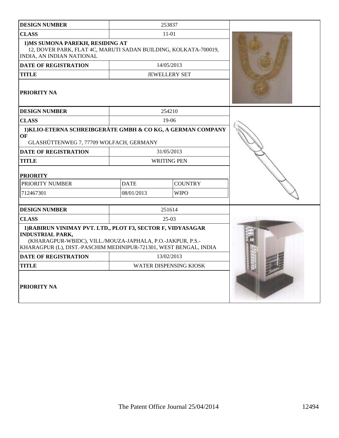| <b>DESIGN NUMBER</b>                                                                                                                                                                                                      |                    | 253837                        |  |
|---------------------------------------------------------------------------------------------------------------------------------------------------------------------------------------------------------------------------|--------------------|-------------------------------|--|
| <b>CLASS</b>                                                                                                                                                                                                              |                    | 11-01                         |  |
| 1) MS SUMONA PAREKH, RESIDING AT<br>12, DOVER PARK, FLAT 4C, MARUTI SADAN BUILDING, KOLKATA-700019,<br>INDIA, AN INDIAN NATIONAL                                                                                          |                    |                               |  |
| <b>DATE OF REGISTRATION</b>                                                                                                                                                                                               |                    | 14/05/2013                    |  |
| <b>TITLE</b>                                                                                                                                                                                                              |                    | <b>JEWELLERY SET</b>          |  |
| <b>PRIORITY NA</b>                                                                                                                                                                                                        |                    |                               |  |
| <b>DESIGN NUMBER</b>                                                                                                                                                                                                      |                    | 254210                        |  |
| <b>CLASS</b>                                                                                                                                                                                                              |                    | $19-06$                       |  |
| 1) KLIO-ETERNA SCHREIBGERÄTE GMBH & CO KG, A GERMAN COMPANY<br>OF<br>GLASHÜTTENWEG 7, 77709 WOLFACH, GERMANY                                                                                                              |                    |                               |  |
| DATE OF REGISTRATION                                                                                                                                                                                                      | 31/05/2013         |                               |  |
| <b>TITLE</b>                                                                                                                                                                                                              | <b>WRITING PEN</b> |                               |  |
| <b>PRIORITY</b>                                                                                                                                                                                                           |                    |                               |  |
| PRIORITY NUMBER                                                                                                                                                                                                           | <b>DATE</b>        | <b>COUNTRY</b>                |  |
| 712467301                                                                                                                                                                                                                 | 08/01/2013         | <b>WIPO</b>                   |  |
| <b>DESIGN NUMBER</b>                                                                                                                                                                                                      |                    | 251614                        |  |
| <b>CLASS</b>                                                                                                                                                                                                              |                    | $25-03$                       |  |
| 1) RABIRUN VINIMAY PVT. LTD., PLOT F3, SECTOR F, VIDYASAGAR<br><b>INDUSTRIAL PARK,</b><br>(KHARAGPUR-WBIDC), VILL./MOUZA-JAPHALA, P.O.-JAKPUR, P.S.-<br>KHARAGPUR (L), DIST.-PASCHIM MEDINIPUR-721301, WEST BENGAL, INDIA |                    |                               |  |
| <b>DATE OF REGISTRATION</b>                                                                                                                                                                                               | 13/02/2013         |                               |  |
| <b>TITLE</b>                                                                                                                                                                                                              |                    | <b>WATER DISPENSING KIOSK</b> |  |
| <b>PRIORITY NA</b>                                                                                                                                                                                                        |                    |                               |  |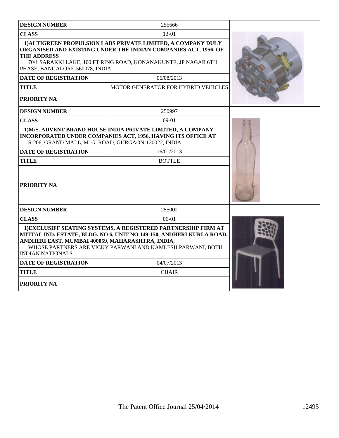| <b>DESIGN NUMBER</b>                                                        | 255666                                                                                                                                                                                               |  |
|-----------------------------------------------------------------------------|------------------------------------------------------------------------------------------------------------------------------------------------------------------------------------------------------|--|
| <b>CLASS</b>                                                                | 13-01                                                                                                                                                                                                |  |
| <b>THE ADDRESS</b><br>PHASE, BANGALORE-560078, INDIA                        | 1) ALTIGREEN PROPULSION LABS PRIVATE LIMITED, A COMPANY DULY<br>ORGANISED AND EXISTING UNDER THE INDIAN COMPANIES ACT, 1956, OF<br>70/1 SARAKKI LAKE, 100 FT RING ROAD, KONANAKUNTE, JP NAGAR 6TH    |  |
| <b>DATE OF REGISTRATION</b>                                                 | 06/08/2013                                                                                                                                                                                           |  |
| <b>TITLE</b>                                                                | <b>MOTOR GENERATOR FOR HYBRID VEHICLES</b>                                                                                                                                                           |  |
| PRIORITY NA                                                                 |                                                                                                                                                                                                      |  |
| <b>DESIGN NUMBER</b>                                                        | 250997                                                                                                                                                                                               |  |
| <b>CLASS</b>                                                                | $09-01$                                                                                                                                                                                              |  |
| S-206, GRAND MALL, M. G. ROAD, GURGAON-120022, INDIA                        | 1) M/S. ADVENT BRAND HOUSE INDIA PRIVATE LIMITED, A COMPANY<br><b>INCORPORATED UNDER COMPANIES ACT, 1956, HAVING ITS OFFICE AT</b>                                                                   |  |
| <b>DATE OF REGISTRATION</b>                                                 | 16/01/2013                                                                                                                                                                                           |  |
| <b>TITLE</b>                                                                | <b>BOTTLE</b>                                                                                                                                                                                        |  |
| <b>PRIORITY NA</b>                                                          |                                                                                                                                                                                                      |  |
| <b>DESIGN NUMBER</b>                                                        | 255002                                                                                                                                                                                               |  |
| <b>CLASS</b>                                                                | $06-01$                                                                                                                                                                                              |  |
| ANDHERI EAST, MUMBAI 400059, MAHARASHTRA, INDIA,<br><b>INDIAN NATIONALS</b> | 1) EXCLUSIFF SEATING SYSTEMS, A REGISTERED PARTNERSHIP FIRM AT<br>MITTAL IND. ESTATE, BLDG. NO 6, UNIT NO 149-150, ANDHERI KURLA ROAD,<br>WHOSE PARTNERS ARE VICKY PARWANI AND KAMLESH PARWANI, BOTH |  |
| DATE OF REGISTRATION                                                        | 04/07/2013                                                                                                                                                                                           |  |
| <b>TITLE</b>                                                                | <b>CHAIR</b>                                                                                                                                                                                         |  |
| PRIORITY NA                                                                 |                                                                                                                                                                                                      |  |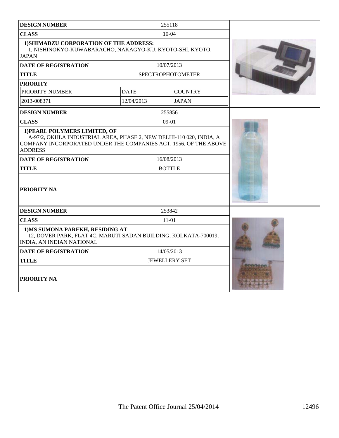| <b>DESIGN NUMBER</b>                                                                                                                                                                       |               | 255118                   |  |
|--------------------------------------------------------------------------------------------------------------------------------------------------------------------------------------------|---------------|--------------------------|--|
| <b>CLASS</b>                                                                                                                                                                               |               | $10 - 04$                |  |
| 1) SHIMADZU CORPORATION OF THE ADDRESS:<br>1, NISHINOKYO-KUWABARACHO, NAKAGYO-KU, KYOTO-SHI, KYOTO,<br><b>JAPAN</b>                                                                        |               |                          |  |
| <b>DATE OF REGISTRATION</b>                                                                                                                                                                |               | 10/07/2013               |  |
| <b>TITLE</b>                                                                                                                                                                               |               | <b>SPECTROPHOTOMETER</b> |  |
| <b>PRIORITY</b>                                                                                                                                                                            |               |                          |  |
| PRIORITY NUMBER                                                                                                                                                                            | <b>DATE</b>   | <b>COUNTRY</b>           |  |
| 2013-008371                                                                                                                                                                                | 12/04/2013    | <b>JAPAN</b>             |  |
| <b>DESIGN NUMBER</b>                                                                                                                                                                       |               | 255856                   |  |
| <b>CLASS</b>                                                                                                                                                                               |               | $09-01$                  |  |
| 1) PEARL POLYMERS LIMITED, OF<br>A-97/2, OKHLA INDUSTRIAL AREA, PHASE 2, NEW DELHI-110 020, INDIA, A<br>COMPANY INCORPORATED UNDER THE COMPANIES ACT, 1956, OF THE ABOVE<br><b>ADDRESS</b> |               |                          |  |
| <b>DATE OF REGISTRATION</b>                                                                                                                                                                | 16/08/2013    |                          |  |
| <b>TITLE</b>                                                                                                                                                                               | <b>BOTTLE</b> |                          |  |
| PRIORITY NA                                                                                                                                                                                |               |                          |  |
| <b>DESIGN NUMBER</b>                                                                                                                                                                       |               | 253842                   |  |
| <b>CLASS</b>                                                                                                                                                                               |               | $11 - 01$                |  |
| 1) MS SUMONA PAREKH, RESIDING AT<br>12, DOVER PARK, FLAT 4C, MARUTI SADAN BUILDING, KOLKATA-700019,<br>INDIA, AN INDIAN NATIONAL                                                           |               |                          |  |
| <b>DATE OF REGISTRATION</b>                                                                                                                                                                | 14/05/2013    |                          |  |
| <b>TITLE</b>                                                                                                                                                                               |               | <b>JEWELLERY SET</b>     |  |
| <b>PRIORITY NA</b>                                                                                                                                                                         |               |                          |  |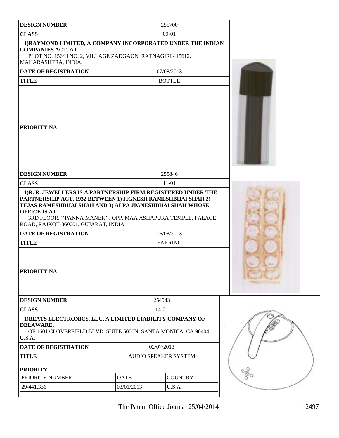| <b>DESIGN NUMBER</b>                                                                                                                                                                                                                                |                             | 255700         |                          |
|-----------------------------------------------------------------------------------------------------------------------------------------------------------------------------------------------------------------------------------------------------|-----------------------------|----------------|--------------------------|
| <b>CLASS</b>                                                                                                                                                                                                                                        | $09-01$                     |                |                          |
| 1) RAYMOND LIMITED, A COMPANY INCORPORATED UNDER THE INDIAN<br><b>COMPANIES ACT, AT</b><br>PLOT NO. 156/H NO. 2, VILLAGE ZADGAON, RATNAGIRI 415612,<br>MAHARASHTRA, INDIA.                                                                          |                             |                |                          |
| <b>DATE OF REGISTRATION</b>                                                                                                                                                                                                                         | 07/08/2013                  |                |                          |
| <b>TITLE</b>                                                                                                                                                                                                                                        |                             | <b>BOTTLE</b>  |                          |
| <b>PRIORITY NA</b>                                                                                                                                                                                                                                  |                             |                |                          |
| <b>DESIGN NUMBER</b>                                                                                                                                                                                                                                |                             | 255846         |                          |
| <b>CLASS</b>                                                                                                                                                                                                                                        |                             | $11 - 01$      |                          |
| PARTNERSHIP ACT, 1932 BETWEEN 1) JIGNESH RAMESHBHAI SHAH 2)<br>TEJAS RAMESHBHAI SHAH AND 3) ALPA JIGNESHBHAI SHAH WHOSE<br><b>OFFICE IS AT</b><br>3RD FLOOR, "PANNA MANEK", OPP. MAA ASHAPURA TEMPLE, PALACE<br>ROAD, RAJKOT-360001, GUJARAT, INDIA |                             |                |                          |
| <b>DATE OF REGISTRATION</b>                                                                                                                                                                                                                         |                             | 16/08/2013     |                          |
| <b>TITLE</b><br>PRIORITY NA                                                                                                                                                                                                                         |                             | <b>EARRING</b> |                          |
| <b>DESIGN NUMBER</b>                                                                                                                                                                                                                                |                             | 254943         |                          |
| <b>CLASS</b>                                                                                                                                                                                                                                        |                             | $14 - 01$      |                          |
| 1) BEATS ELECTRONICS, LLC, A LIMITED LIABILITY COMPANY OF<br>DELAWARE,<br>OF 1601 CLOVERFIELD BLVD, SUITE 5000N, SANTA MONICA, CA 90404,<br>U.S.A.                                                                                                  |                             |                |                          |
| <b>DATE OF REGISTRATION</b>                                                                                                                                                                                                                         | 02/07/2013                  |                |                          |
| <b>TITLE</b>                                                                                                                                                                                                                                        | <b>AUDIO SPEAKER SYSTEM</b> |                |                          |
| <b>PRIORITY</b>                                                                                                                                                                                                                                     |                             |                |                          |
| PRIORITY NUMBER                                                                                                                                                                                                                                     | <b>DATE</b>                 | <b>COUNTRY</b> | $\delta^{\rm 0}_{\rm 0}$ |
| 29/441,336                                                                                                                                                                                                                                          | 03/01/2013                  | U.S.A.         |                          |
|                                                                                                                                                                                                                                                     |                             |                |                          |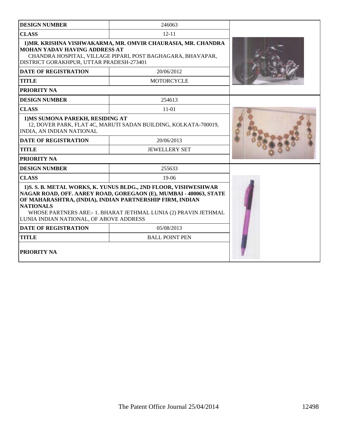| <b>DESIGN NUMBER</b>                                                             | 246063                                                                                                                                                                                                                                                             |  |
|----------------------------------------------------------------------------------|--------------------------------------------------------------------------------------------------------------------------------------------------------------------------------------------------------------------------------------------------------------------|--|
| <b>CLASS</b>                                                                     | $12 - 11$                                                                                                                                                                                                                                                          |  |
| <b>MOHAN YADAV HAVING ADDRESS AT</b><br>DISTRICT GORAKHPUR, UTTAR PRADESH-273401 | 1) MR. KRISHNA VISHWAKARMA, MR. OMVIR CHAURASIA, MR. CHANDRA<br>CHANDRA HOSPITAL, VILLAGE PIPARI, POST BAGHAGARA, BHAVAPAR,                                                                                                                                        |  |
| <b>DATE OF REGISTRATION</b>                                                      | 20/06/2012                                                                                                                                                                                                                                                         |  |
| <b>TITLE</b>                                                                     | <b>MOTORCYCLE</b>                                                                                                                                                                                                                                                  |  |
| PRIORITY NA                                                                      |                                                                                                                                                                                                                                                                    |  |
| <b>DESIGN NUMBER</b>                                                             | 254613                                                                                                                                                                                                                                                             |  |
| <b>CLASS</b>                                                                     | $11 - 01$                                                                                                                                                                                                                                                          |  |
| 1) MS SUMONA PAREKH, RESIDING AT<br>INDIA, AN INDIAN NATIONAL                    | 12, DOVER PARK, FLAT 4C, MARUTI SADAN BUILDING, KOLKATA-700019,                                                                                                                                                                                                    |  |
| <b>DATE OF REGISTRATION</b>                                                      | 20/06/2013                                                                                                                                                                                                                                                         |  |
| <b>TITLE</b>                                                                     | <b>JEWELLERY SET</b>                                                                                                                                                                                                                                               |  |
| <b>PRIORITY NA</b>                                                               |                                                                                                                                                                                                                                                                    |  |
| <b>DESIGN NUMBER</b>                                                             | 255633                                                                                                                                                                                                                                                             |  |
| <b>CLASS</b>                                                                     | $19-06$                                                                                                                                                                                                                                                            |  |
| <b>NATIONALS</b><br>LUNIA INDIAN NATIONAL, OF ABOVE ADDRESS                      | 1) S. S. B. METAL WORKS, K. YUNUS BLDG., 2ND FLOOR, VISHWESHWAR<br>NAGAR ROAD, OFF. AAREY ROAD, GOREGAON (E), MUMBAI - 400063, STATE<br>OF MAHARASHTRA, (INDIA), INDIAN PARTNERSHIP FIRM, INDIAN<br>WHOSE PARTNERS ARE:-1. BHARAT JETHMAL LUNIA (2) PRAVIN JETHMAL |  |
| <b>DATE OF REGISTRATION</b>                                                      | 05/08/2013                                                                                                                                                                                                                                                         |  |
| <b>TITLE</b>                                                                     | <b>BALL POINT PEN</b>                                                                                                                                                                                                                                              |  |
| PRIORITY NA                                                                      |                                                                                                                                                                                                                                                                    |  |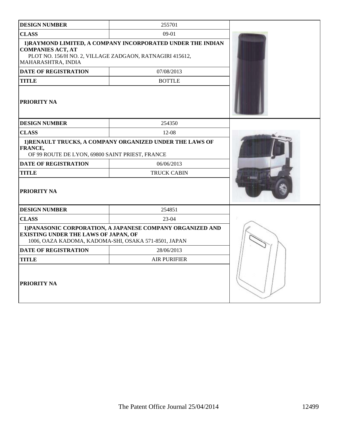| <b>DESIGN NUMBER</b>                                                                                       | 255701                                                      |  |
|------------------------------------------------------------------------------------------------------------|-------------------------------------------------------------|--|
| <b>CLASS</b>                                                                                               | $09-01$                                                     |  |
| <b>COMPANIES ACT, AT</b><br>PLOT NO. 156/H NO. 2, VILLAGE ZADGAON, RATNAGIRI 415612,<br>MAHARASHTRA, INDIA | 1) RAYMOND LIMITED, A COMPANY INCORPORATED UNDER THE INDIAN |  |
| <b>DATE OF REGISTRATION</b>                                                                                | 07/08/2013                                                  |  |
| TITLE                                                                                                      | <b>BOTTLE</b>                                               |  |
| <b>PRIORITY NA</b>                                                                                         |                                                             |  |
| <b>DESIGN NUMBER</b>                                                                                       | 254350                                                      |  |
| <b>CLASS</b>                                                                                               | $12 - 08$                                                   |  |
| FRANCE,<br>OF 99 ROUTE DE LYON, 69800 SAINT PRIEST, FRANCE                                                 | 1) RENAULT TRUCKS, A COMPANY ORGANIZED UNDER THE LAWS OF    |  |
| <b>DATE OF REGISTRATION</b>                                                                                | 06/06/2013                                                  |  |
| TITLE                                                                                                      | <b>TRUCK CABIN</b>                                          |  |
| PRIORITY NA                                                                                                |                                                             |  |
| <b>DESIGN NUMBER</b>                                                                                       | 254851                                                      |  |
| <b>CLASS</b>                                                                                               | $23-04$                                                     |  |
| <b>EXISTING UNDER THE LAWS OF JAPAN, OF</b><br>1006, OAZA KADOMA, KADOMA-SHI, OSAKA 571-8501, JAPAN        | 1) PANASONIC CORPORATION, A JAPANESE COMPANY ORGANIZED AND  |  |
| <b>DATE OF REGISTRATION</b>                                                                                | 28/06/2013                                                  |  |
| <b>TITLE</b>                                                                                               | <b>AIR PURIFIER</b>                                         |  |
| PRIORITY NA                                                                                                |                                                             |  |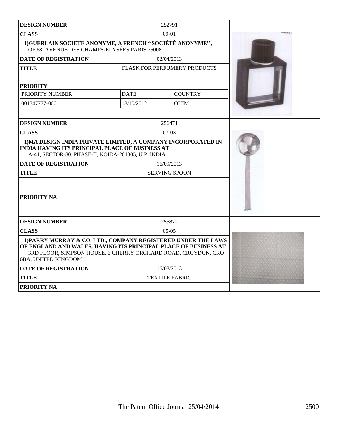| <b>DESIGN NUMBER</b>                                                                                                                                                                                                     |                      | 252791                       |  |
|--------------------------------------------------------------------------------------------------------------------------------------------------------------------------------------------------------------------------|----------------------|------------------------------|--|
| <b>CLASS</b>                                                                                                                                                                                                             |                      | $09-01$                      |  |
| 1) GUERLAIN SOCIETE ANONYME, A FRENCH "SOCIÉTÉ ANONYME",<br>OF 68, AVENUE DES CHAMPS-ELYSÉES PARIS 75008                                                                                                                 |                      |                              |  |
| <b>DATE OF REGISTRATION</b>                                                                                                                                                                                              |                      | 02/04/2013                   |  |
| <b>TITLE</b>                                                                                                                                                                                                             |                      | FLASK FOR PERFUMERY PRODUCTS |  |
| <b>PRIORITY</b>                                                                                                                                                                                                          |                      |                              |  |
| PRIORITY NUMBER                                                                                                                                                                                                          | <b>DATE</b>          | <b>COUNTRY</b>               |  |
| 001347777-0001                                                                                                                                                                                                           | 18/10/2012           | <b>OHIM</b>                  |  |
|                                                                                                                                                                                                                          |                      |                              |  |
| <b>DESIGN NUMBER</b>                                                                                                                                                                                                     |                      | 256471                       |  |
| <b>CLASS</b>                                                                                                                                                                                                             |                      | $07-03$                      |  |
| 1) MA DESIGN INDIA PRIVATE LIMITED, A COMPANY INCORPORATED IN<br><b>INDIA HAVING ITS PRINCIPAL PLACE OF BUSINESS AT</b><br>A-41, SECTOR-80, PHASE-II, NOIDA-201305, U.P. INDIA                                           |                      |                              |  |
| <b>DATE OF REGISTRATION</b>                                                                                                                                                                                              | 16/09/2013           |                              |  |
| <b>TITLE</b>                                                                                                                                                                                                             | <b>SERVING SPOON</b> |                              |  |
| <b>PRIORITY NA</b>                                                                                                                                                                                                       |                      |                              |  |
| <b>DESIGN NUMBER</b>                                                                                                                                                                                                     |                      | 255872                       |  |
| <b>CLASS</b>                                                                                                                                                                                                             | $05-05$              |                              |  |
| 1) PARRY MURRAY & CO. LTD., COMPANY REGISTERED UNDER THE LAWS<br>OF ENGLAND AND WALES, HAVING ITS PRINCIPAL PLACE OF BUSINESS AT<br>3RD FLOOR, SIMPSON HOUSE, 6 CHERRY ORCHARD ROAD, CROYDON, CRO<br>6BA, UNITED KINGDOM |                      |                              |  |
| <b>DATE OF REGISTRATION</b>                                                                                                                                                                                              |                      | 16/08/2013                   |  |
| <b>TITLE</b>                                                                                                                                                                                                             |                      | <b>TEXTILE FABRIC</b>        |  |
| <b>PRIORITY NA</b>                                                                                                                                                                                                       |                      |                              |  |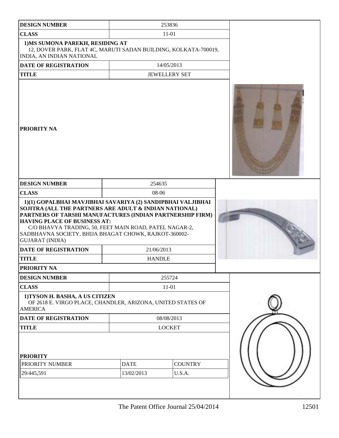| <b>DESIGN NUMBER</b>                                                                                                                                                                                                                                                                                                                   |                           | 253836                   |  |
|----------------------------------------------------------------------------------------------------------------------------------------------------------------------------------------------------------------------------------------------------------------------------------------------------------------------------------------|---------------------------|--------------------------|--|
| <b>CLASS</b>                                                                                                                                                                                                                                                                                                                           |                           | $11 - 01$                |  |
| 1) MS SUMONA PAREKH, RESIDING AT<br>12, DOVER PARK, FLAT 4C, MARUTI SADAN BUILDING, KOLKATA-700019,<br>INDIA, AN INDIAN NATIONAL                                                                                                                                                                                                       |                           |                          |  |
| <b>DATE OF REGISTRATION</b>                                                                                                                                                                                                                                                                                                            |                           | 14/05/2013               |  |
| <b>TITLE</b>                                                                                                                                                                                                                                                                                                                           |                           | <b>JEWELLERY SET</b>     |  |
| <b>PRIORITY NA</b>                                                                                                                                                                                                                                                                                                                     |                           |                          |  |
| <b>DESIGN NUMBER</b>                                                                                                                                                                                                                                                                                                                   | 254635                    |                          |  |
| <b>CLASS</b>                                                                                                                                                                                                                                                                                                                           | 08-06                     |                          |  |
| SOJITRA (ALL THE PARTNERS ARE ADULT & INDIAN NATIONAL)<br>PARTNERS OF TARSHI MANUFACTURES (INDIAN PARTNERSHIP FIRM)<br><b>HAVING PLACE OF BUSINESS AT:</b><br>C/O BHAVYA TRADING, 50, FEET MAIN ROAD, PATEL NAGAR-2,<br>SADBHAVNA SOCIETY, BHIJA BHAGAT CHOWK, RAJKOT-360002-<br><b>GUJARAT (INDIA)</b><br><b>DATE OF REGISTRATION</b> | 21/06/2013                |                          |  |
| <b>TITLE</b>                                                                                                                                                                                                                                                                                                                           | <b>HANDLE</b>             |                          |  |
| PRIORITY NA                                                                                                                                                                                                                                                                                                                            |                           |                          |  |
| <b>DESIGN NUMBER</b>                                                                                                                                                                                                                                                                                                                   |                           | 255724                   |  |
| <b>CLASS</b>                                                                                                                                                                                                                                                                                                                           |                           | $11 - 01$                |  |
| 1) TYSON H. BASHA, A US CITIZEN<br>OF 2618 E. VIRGO PLACE, CHANDLER, ARIZONA, UNITED STATES OF<br><b>AMERICA</b>                                                                                                                                                                                                                       |                           |                          |  |
| <b>DATE OF REGISTRATION</b>                                                                                                                                                                                                                                                                                                            | 08/08/2013                |                          |  |
| <b>TITLE</b>                                                                                                                                                                                                                                                                                                                           | <b>LOCKET</b>             |                          |  |
| <b>PRIORITY</b><br>PRIORITY NUMBER<br>29/445,591                                                                                                                                                                                                                                                                                       | <b>DATE</b><br>13/02/2013 | <b>COUNTRY</b><br>U.S.A. |  |
|                                                                                                                                                                                                                                                                                                                                        |                           |                          |  |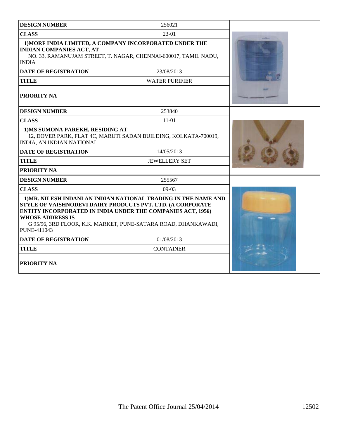| <b>DESIGN NUMBER</b>                                                                                                                                                          | 256021                                                                                                                                                                                                                                                                |  |
|-------------------------------------------------------------------------------------------------------------------------------------------------------------------------------|-----------------------------------------------------------------------------------------------------------------------------------------------------------------------------------------------------------------------------------------------------------------------|--|
| <b>CLASS</b>                                                                                                                                                                  | 23-01                                                                                                                                                                                                                                                                 |  |
| 1) MORF INDIA LIMITED, A COMPANY INCORPORATED UNDER THE<br><b>INDIAN COMPANIES ACT, AT</b><br>NO. 33, RAMANUJAM STREET, T. NAGAR, CHENNAI-600017, TAMIL NADU,<br><b>INDIA</b> |                                                                                                                                                                                                                                                                       |  |
| <b>DATE OF REGISTRATION</b>                                                                                                                                                   | 23/08/2013                                                                                                                                                                                                                                                            |  |
| <b>TITLE</b>                                                                                                                                                                  | <b>WATER PURIFIER</b>                                                                                                                                                                                                                                                 |  |
| PRIORITY NA                                                                                                                                                                   |                                                                                                                                                                                                                                                                       |  |
| <b>DESIGN NUMBER</b>                                                                                                                                                          | 253840                                                                                                                                                                                                                                                                |  |
| <b>CLASS</b>                                                                                                                                                                  | $11 - 01$                                                                                                                                                                                                                                                             |  |
| 1) MS SUMONA PAREKH, RESIDING AT<br>12, DOVER PARK, FLAT 4C, MARUTI SADAN BUILDING, KOLKATA-700019,<br><b>INDIA, AN INDIAN NATIONAL</b>                                       |                                                                                                                                                                                                                                                                       |  |
| <b>DATE OF REGISTRATION</b>                                                                                                                                                   | 14/05/2013                                                                                                                                                                                                                                                            |  |
| <b>TITLE</b>                                                                                                                                                                  | <b>JEWELLERY SET</b>                                                                                                                                                                                                                                                  |  |
| PRIORITY NA                                                                                                                                                                   |                                                                                                                                                                                                                                                                       |  |
| <b>DESIGN NUMBER</b>                                                                                                                                                          | 255567                                                                                                                                                                                                                                                                |  |
| <b>CLASS</b>                                                                                                                                                                  | $09-03$                                                                                                                                                                                                                                                               |  |
| <b>WHOSE ADDRESS IS</b><br>PUNE-411043                                                                                                                                        | 1) MR. NILESH INDANI AN INDIAN NATIONAL TRADING IN THE NAME AND<br>STYLE OF VAISHNODEVI DAIRY PRODUCTS PVT. LTD. (A CORPORATE<br><b>ENTITY INCORPORATED IN INDIA UNDER THE COMPANIES ACT, 1956)</b><br>G 95/96, 3RD FLOOR, K.K. MARKET, PUNE-SATARA ROAD, DHANKAWADI, |  |
| <b>DATE OF REGISTRATION</b>                                                                                                                                                   | 01/08/2013                                                                                                                                                                                                                                                            |  |
| <b>TITLE</b>                                                                                                                                                                  | <b>CONTAINER</b>                                                                                                                                                                                                                                                      |  |
| PRIORITY NA                                                                                                                                                                   |                                                                                                                                                                                                                                                                       |  |